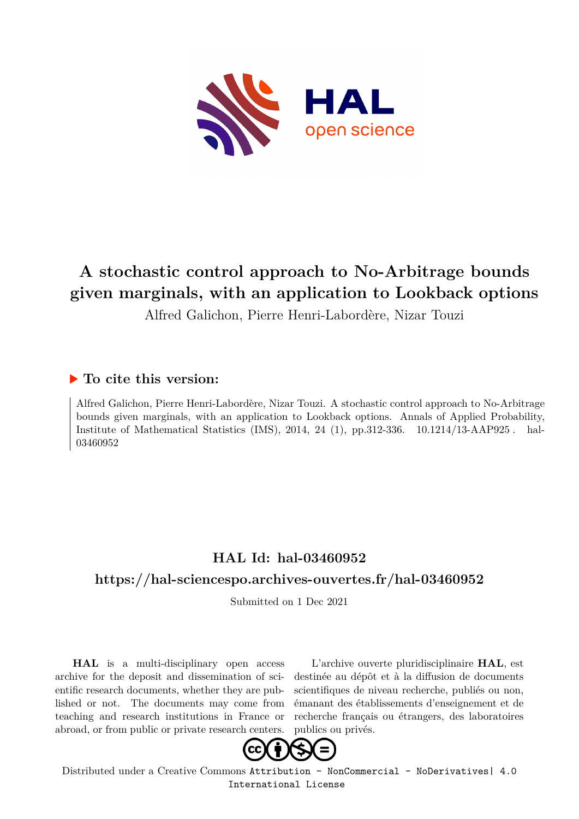

# **A stochastic control approach to No-Arbitrage bounds given marginals, with an application to Lookback options**

Alfred Galichon, Pierre Henri-Labordère, Nizar Touzi

## **To cite this version:**

Alfred Galichon, Pierre Henri-Labordère, Nizar Touzi. A stochastic control approach to No-Arbitrage bounds given marginals, with an application to Lookback options. Annals of Applied Probability, Institute of Mathematical Statistics (IMS), 2014, 24 (1), pp.312-336.  $10.1214/13$ -AAP925. hal-03460952

# **HAL Id: hal-03460952**

# **<https://hal-sciencespo.archives-ouvertes.fr/hal-03460952>**

Submitted on 1 Dec 2021

**HAL** is a multi-disciplinary open access archive for the deposit and dissemination of scientific research documents, whether they are published or not. The documents may come from teaching and research institutions in France or abroad, or from public or private research centers.

L'archive ouverte pluridisciplinaire **HAL**, est destinée au dépôt et à la diffusion de documents scientifiques de niveau recherche, publiés ou non, émanant des établissements d'enseignement et de recherche français ou étrangers, des laboratoires publics ou privés.



Distributed under a Creative Commons [Attribution - NonCommercial - NoDerivatives| 4.0](http://creativecommons.org/licenses/by-nc-nd/4.0/) [International License](http://creativecommons.org/licenses/by-nc-nd/4.0/)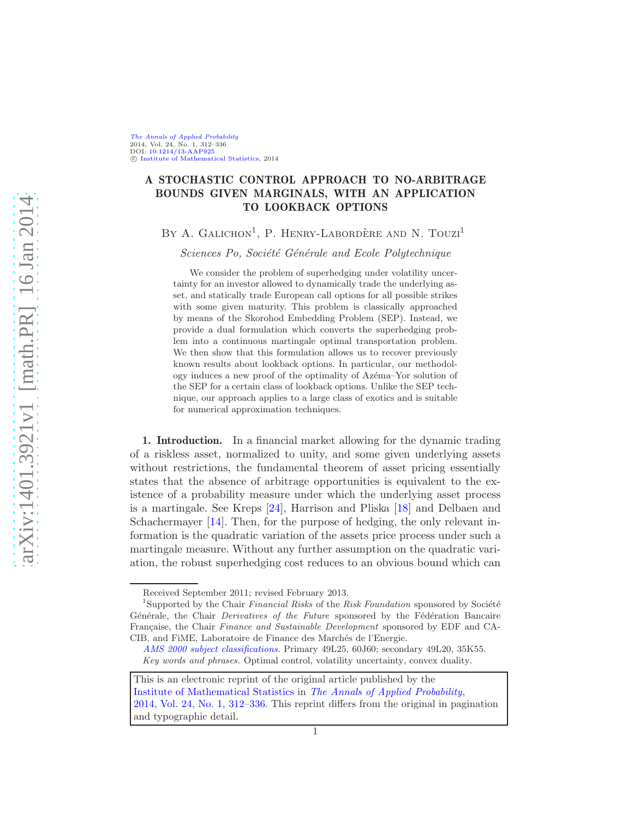[The Annals of Applied Probability](http://www.imstat.org/aap/) 2014, Vol. 24, No. 1, 312–336 DOI: [10.1214/13-AAP925](http://dx.doi.org/10.1214/13-AAP925) c [Institute of Mathematical Statistics,](http://www.imstat.org) 2014

### A STOCHASTIC CONTROL APPROACH TO NO-ARBITRAGE BOUNDS GIVEN MARGINALS, WITH AN APPLICATION TO LOOKBACK OPTIONS

BY A. GALICHON<sup>1</sup>, P. HENRY-LABORDÈRE AND N. TOUZI<sup>1</sup>

Sciences Po, Société Générale and Ecole Polytechnique

We consider the problem of superhedging under volatility uncertainty for an investor allowed to dynamically trade the underlying asset, and statically trade European call options for all possible strikes with some given maturity. This problem is classically approached by means of the Skorohod Embedding Problem (SEP). Instead, we provide a dual formulation which converts the superhedging problem into a continuous martingale optimal transportation problem. We then show that this formulation allows us to recover previously known results about lookback options. In particular, our methodology induces a new proof of the optimality of Azema–Yor solution of the SEP for a certain class of lookback options. Unlike the SEP technique, our approach applies to a large class of exotics and is suitable for numerical approximation techniques.

1. Introduction. In a financial market allowing for the dynamic trading of a riskless asset, normalized to unity, and some given underlying assets without restrictions, the fundamental theorem of asset pricing essentially states that the absence of arbitrage opportunities is equivalent to the existence of a probability measure under which the underlying asset process is a martingale. See Kreps [\[24](#page-25-0)], Harrison and Pliska [\[18](#page-25-1)] and Delbaen and Schachermayer [\[14](#page-24-0)]. Then, for the purpose of hedging, the only relevant information is the quadratic variation of the assets price process under such a martingale measure. Without any further assumption on the quadratic variation, the robust superhedging cost reduces to an obvious bound which can

Received September 2011; revised February 2013.

<sup>&</sup>lt;sup>1</sup>Supported by the Chair Financial Risks of the Risk Foundation sponsored by Société Générale, the Chair *Derivatives of the Future* sponsored by the Fédération Bancaire Française, the Chair Finance and Sustainable Development sponsored by EDF and CA-CIB, and FIME, Laboratoire de Finance des Marchés de l'Energie.

[AMS 2000 subject classifications.](http://www.ams.org/msc/) Primary 49L25, 60J60; secondary 49L20, 35K55. Key words and phrases. Optimal control, volatility uncertainty, convex duality.

This is an electronic reprint of the original article published by the [Institute of Mathematical Statistics](http://www.imstat.org) in [The Annals of Applied Probability](http://www.imstat.org/aap/), [2014, Vol. 24, No. 1, 312–336.](http://dx.doi.org/10.1214/13-AAP925) This reprint differs from the original in pagination and typographic detail.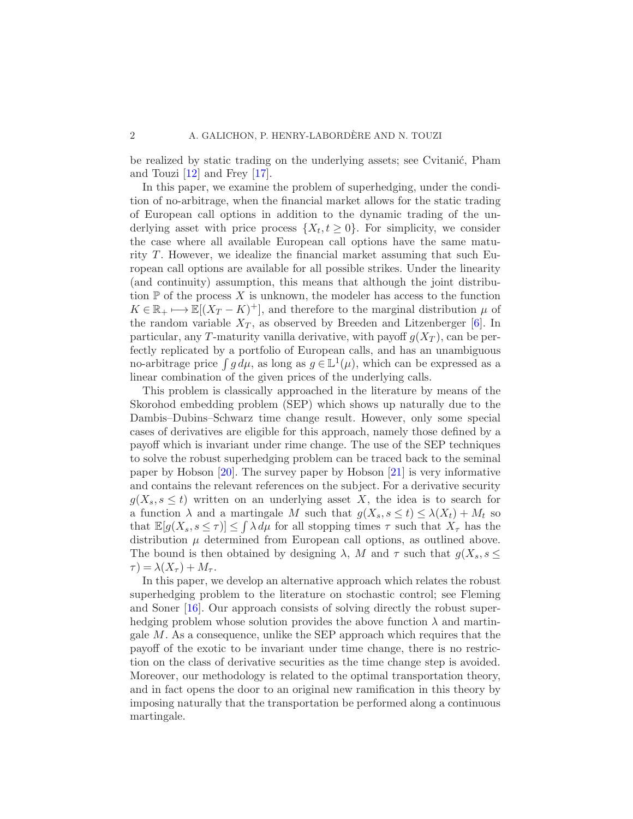be realized by static trading on the underlying assets; see Cvitanić, Pham and Touzi [\[12\]](#page-24-1) and Frey [\[17](#page-24-2)].

In this paper, we examine the problem of superhedging, under the condition of no-arbitrage, when the financial market allows for the static trading of European call options in addition to the dynamic trading of the underlying asset with price process  $\{X_t, t \geq 0\}$ . For simplicity, we consider the case where all available European call options have the same maturity T. However, we idealize the financial market assuming that such European call options are available for all possible strikes. Under the linearity (and continuity) assumption, this means that although the joint distribution  $P$  of the process X is unknown, the modeler has access to the function  $K \in \mathbb{R}_+ \longmapsto \mathbb{E}[(X_T - K)^+]$ , and therefore to the marginal distribution  $\mu$  of the random variable  $X_T$ , as observed by Breeden and Litzenberger [\[6](#page-24-3)]. In particular, any T-maturity vanilla derivative, with payoff  $q(X_T)$ , can be perfectly replicated by a portfolio of European calls, and has an unambiguous no-arbitrage price  $\int g d\mu$ , as long as  $g \in L^1(\mu)$ , which can be expressed as a linear combination of the given prices of the underlying calls.

This problem is classically approached in the literature by means of the Skorohod embedding problem (SEP) which shows up naturally due to the Dambis–Dubins–Schwarz time change result. However, only some special cases of derivatives are eligible for this approach, namely those defined by a payoff which is invariant under rime change. The use of the SEP techniques to solve the robust superhedging problem can be traced back to the seminal paper by Hobson [\[20](#page-25-2)]. The survey paper by Hobson [\[21\]](#page-25-3) is very informative and contains the relevant references on the subject. For a derivative security  $g(X_s, s \leq t)$  written on an underlying asset X, the idea is to search for a function  $\lambda$  and a martingale M such that  $g(X_s, s \le t) \le \lambda(X_t) + M_t$  so that  $\mathbb{E}[g(X_s, s \leq \tau)] \leq \int \lambda d\mu$  for all stopping times  $\tau$  such that  $X_{\tau}$  has the distribution  $\mu$  determined from European call options, as outlined above. The bound is then obtained by designing  $\lambda$ , M and  $\tau$  such that  $g(X_s, s \leq$  $\tau = \lambda(X_\tau) + M_\tau.$ 

In this paper, we develop an alternative approach which relates the robust superhedging problem to the literature on stochastic control; see Fleming and Soner [\[16\]](#page-24-4). Our approach consists of solving directly the robust superhedging problem whose solution provides the above function  $\lambda$  and martingale M. As a consequence, unlike the SEP approach which requires that the payoff of the exotic to be invariant under time change, there is no restriction on the class of derivative securities as the time change step is avoided. Moreover, our methodology is related to the optimal transportation theory, and in fact opens the door to an original new ramification in this theory by imposing naturally that the transportation be performed along a continuous martingale.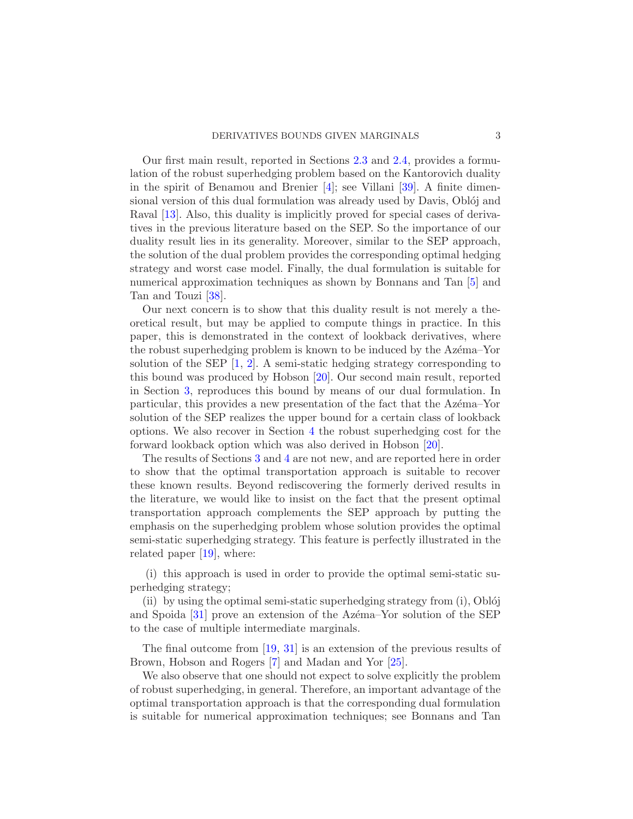Our first main result, reported in Sections [2.3](#page-5-0) and [2.4,](#page-6-0) provides a formulation of the robust superhedging problem based on the Kantorovich duality in the spirit of Benamou and Brenier  $[4]$ ; see Villani [\[39\]](#page-25-4). A finite dimensional version of this dual formulation was already used by Davis, Oblój and Raval [\[13](#page-24-6)]. Also, this duality is implicitly proved for special cases of derivatives in the previous literature based on the SEP. So the importance of our duality result lies in its generality. Moreover, similar to the SEP approach, the solution of the dual problem provides the corresponding optimal hedging strategy and worst case model. Finally, the dual formulation is suitable for numerical approximation techniques as shown by Bonnans and Tan [\[5](#page-24-7)] and Tan and Touzi [\[38](#page-25-5)].

Our next concern is to show that this duality result is not merely a theoretical result, but may be applied to compute things in practice. In this paper, this is demonstrated in the context of lookback derivatives, where the robust superhedging problem is known to be induced by the Azema–Yor solution of the SEP  $[1, 2]$  $[1, 2]$  $[1, 2]$ . A semi-static hedging strategy corresponding to this bound was produced by Hobson [\[20\]](#page-25-2). Our second main result, reported in Section [3,](#page-10-0) reproduces this bound by means of our dual formulation. In particular, this provides a new presentation of the fact that the Azema–Yor solution of the SEP realizes the upper bound for a certain class of lookback options. We also recover in Section [4](#page-18-0) the robust superhedging cost for the forward lookback option which was also derived in Hobson [\[20](#page-25-2)].

The results of Sections [3](#page-10-0) and [4](#page-18-0) are not new, and are reported here in order to show that the optimal transportation approach is suitable to recover these known results. Beyond rediscovering the formerly derived results in the literature, we would like to insist on the fact that the present optimal transportation approach complements the SEP approach by putting the emphasis on the superhedging problem whose solution provides the optimal semi-static superhedging strategy. This feature is perfectly illustrated in the related paper [\[19\]](#page-25-6), where:

(i) this approach is used in order to provide the optimal semi-static superhedging strategy;

(ii) by using the optimal semi-static superhedging strategy from  $(i)$ , Oblój and Spoida  $[31]$  prove an extension of the Azema–Yor solution of the SEP to the case of multiple intermediate marginals.

The final outcome from [\[19,](#page-25-6) [31](#page-25-7)] is an extension of the previous results of Brown, Hobson and Rogers [\[7](#page-24-10)] and Madan and Yor [\[25\]](#page-25-8).

We also observe that one should not expect to solve explicitly the problem of robust superhedging, in general. Therefore, an important advantage of the optimal transportation approach is that the corresponding dual formulation is suitable for numerical approximation techniques; see Bonnans and Tan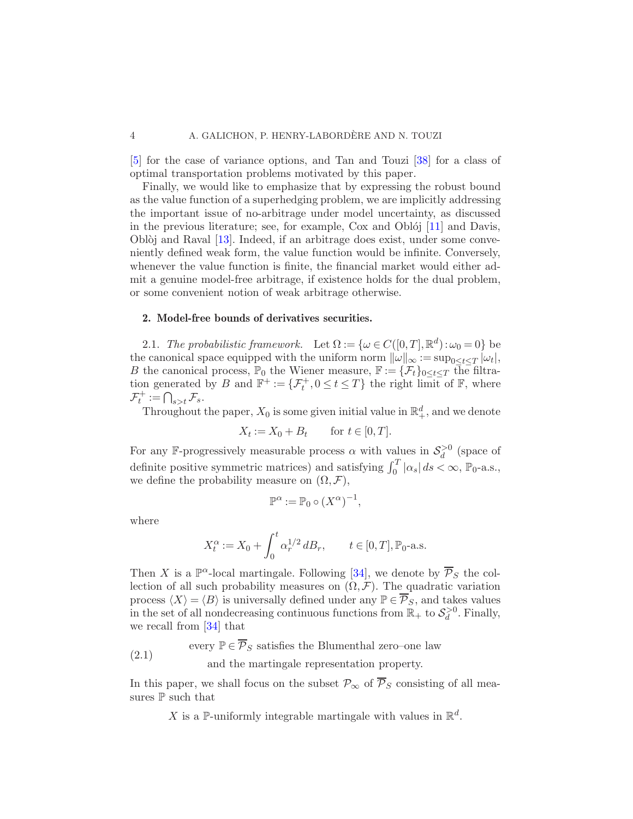[\[5](#page-24-7)] for the case of variance options, and Tan and Touzi [\[38](#page-25-5)] for a class of optimal transportation problems motivated by this paper.

Finally, we would like to emphasize that by expressing the robust bound as the value function of a superhedging problem, we are implicitly addressing the important issue of no-arbitrage under model uncertainty, as discussed in the previous literature; see, for example,  $Cox$  and Oblój  $[11]$  $[11]$  and Davis, Obl $\delta$ j and Raval [\[13\]](#page-24-6). Indeed, if an arbitrage does exist, under some conveniently defined weak form, the value function would be infinite. Conversely, whenever the value function is finite, the financial market would either admit a genuine model-free arbitrage, if existence holds for the dual problem, or some convenient notion of weak arbitrage otherwise.

#### 2. Model-free bounds of derivatives securities.

<span id="page-4-0"></span>2.1. The probabilistic framework. Let  $\Omega := \{ \omega \in C([0, T], \mathbb{R}^d) : \omega_0 = 0 \}$  be the canonical space equipped with the uniform norm  $\|\omega\|_{\infty} := \sup_{0 \leq t \leq T} |\omega_t|$ , B the canonical process,  $\mathbb{P}_0$  the Wiener measure,  $\mathbb{F} := {\{\mathcal{F}_t\}_{0 \leq t \leq T}}$  the filtration generated by B and  $\mathbb{F}^+ := \{ \mathcal{F}^+_t, 0 \le t \le T \}$  the right limit of  $\mathbb{F}$ , where  $\mathcal{F}_t^+ := \bigcap_{s>t} \mathcal{F}_s.$ 

Throughout the paper,  $X_0$  is some given initial value in  $\mathbb{R}^d_+$ , and we denote

$$
X_t := X_0 + B_t \quad \text{for } t \in [0, T].
$$

For any F-progressively measurable process  $\alpha$  with values in  $\mathcal{S}_d^{\geq 0}$  (space of definite positive symmetric matrices) and satisfying  $\int_0^T |\alpha_s| ds < \infty$ ,  $\mathbb{P}_0$ -a.s., we define the probability measure on  $(\Omega, \mathcal{F}),$ 

$$
\mathbb{P}^{\alpha} := \mathbb{P}_0 \circ (X^{\alpha})^{-1},
$$

where

$$
X_t^{\alpha} := X_0 + \int_0^t \alpha_r^{1/2} \, dB_r, \qquad t \in [0, T], \mathbb{P}_0\text{-a.s.}
$$

Then X is a  $\mathbb{P}^{\alpha}$ -local martingale. Following [\[34](#page-25-9)], we denote by  $\overline{\mathcal{P}}_S$  the collection of all such probability measures on  $(\Omega, \mathcal{F})$ . The quadratic variation process  $\langle X \rangle = \langle B \rangle$  is universally defined under any  $\mathbb{P} \in \overline{\mathcal{P}}_S$ , and takes values in the set of all nondecreasing continuous functions from  $\mathbb{R}_+$  to  $\mathcal{S}_d^{\geq 0}$ . Finally, we recall from [\[34\]](#page-25-9) that

every  $\mathbb{P} \in \overline{\mathcal{P}}_S$  satisfies the Blumenthal zero–one law (2.1)

and the martingale representation property.

In this paper, we shall focus on the subset  $\mathcal{P}_{\infty}$  of  $\overline{\mathcal{P}}_{S}$  consisting of all measures ${\mathbb P}$  such that

X is a P-uniformly integrable martingale with values in  $\mathbb{R}^d$ .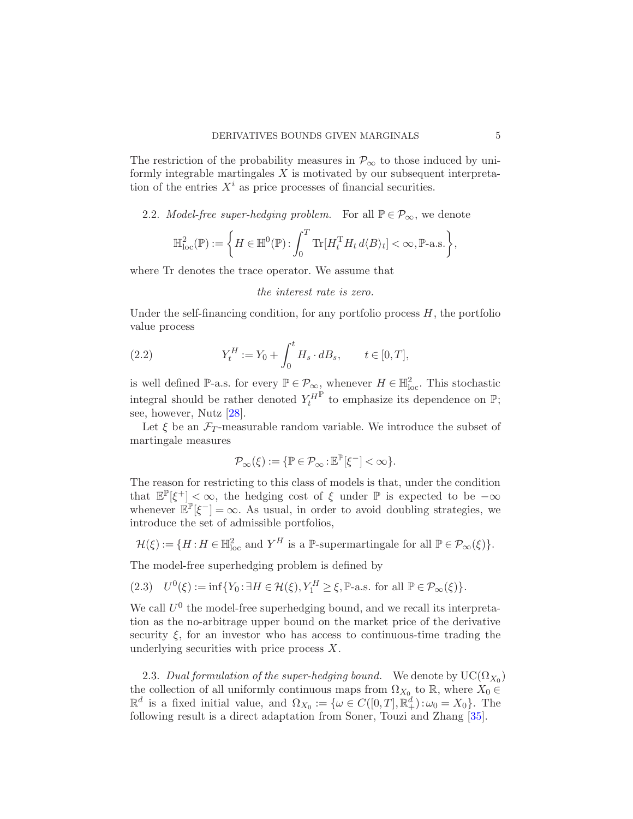The restriction of the probability measures in  $\mathcal{P}_{\infty}$  to those induced by uniformly integrable martingales  $X$  is motivated by our subsequent interpretation of the entries  $X^i$  as price processes of financial securities.

### 2.2. Model-free super-hedging problem. For all  $\mathbb{P} \in \mathcal{P}_{\infty}$ , we denote

$$
\mathbb{H}^2_{\mathrm{loc}}(\mathbb{P}) := \left\{ H \in \mathbb{H}^0(\mathbb{P}) : \int_0^T \mathrm{Tr}[H_t^{\mathrm{T}} H_t d \langle B \rangle_t] < \infty, \mathbb{P}\text{-a.s.} \right\},\
$$

where Tr denotes the trace operator. We assume that

#### the interest rate is zero.

Under the self-financing condition, for any portfolio process  $H$ , the portfolio value process

(2.2) 
$$
Y_t^H := Y_0 + \int_0^t H_s \cdot dB_s, \qquad t \in [0, T],
$$

is well defined P-a.s. for every  $\mathbb{P} \in \mathcal{P}_{\infty}$ , whenever  $H \in \mathbb{H}^2_{loc}$ . This stochastic integral should be rather denoted  $Y_t^H$  $\mathbb{P}$  to emphasize its dependence on  $\mathbb{P}$ ; see, however, Nutz [\[28](#page-25-10)].

Let  $\xi$  be an  $\mathcal{F}_T$ -measurable random variable. We introduce the subset of martingale measures

$$
\mathcal{P}_\infty(\xi):=\{\mathbb{P}\in\mathcal{P}_\infty\!:\!\mathbb{E}^\mathbb{P}[\xi^-]<\infty\}.
$$

The reason for restricting to this class of models is that, under the condition that  $\mathbb{E}^{\mathbb{P}}[\xi^+] < \infty$ , the hedging cost of  $\xi$  under  $\mathbb{P}$  is expected to be  $-\infty$ whenever  $\mathbb{E}^{\mathbb{P}}[\xi^-] = \infty$ . As usual, in order to avoid doubling strategies, we introduce the set of admissible portfolios,

$$
\mathcal{H}(\xi) := \{ H : H \in \mathbb{H}^2_{\text{loc}} \text{ and } Y^H \text{ is a } \mathbb{P}\text{-supermartingale for all } \mathbb{P} \in \mathcal{P}_{\infty}(\xi) \}.
$$

The model-free superhedging problem is defined by

 $\sim$ 

(2.3) 
$$
U^0(\xi) := \inf \{ Y_0 : \exists H \in \mathcal{H}(\xi), Y_1^H \ge \xi, \mathbb{P}\text{-a.s. for all } \mathbb{P} \in \mathcal{P}_\infty(\xi) \}.
$$

We call  $U^0$  the model-free superhedging bound, and we recall its interpretation as the no-arbitrage upper bound on the market price of the derivative security  $\xi$ , for an investor who has access to continuous-time trading the underlying securities with price process  $X$ .

<span id="page-5-1"></span><span id="page-5-0"></span>2.3. Dual formulation of the super-hedging bound. We denote by  $\mathrm{UC}(\Omega_{X_0})$ the collection of all uniformly continuous maps from  $\Omega_{X_0}$  to  $\mathbb R$ , where  $X_0 \in$  $\mathbb{R}^d$  is a fixed initial value, and  $\Omega_{X_0} := \{ \omega \in C([0,T], \mathbb{R}_+^d) : \omega_0 = X_0 \}.$  The following result is a direct adaptation from Soner, Touzi and Zhang [\[35](#page-25-11)].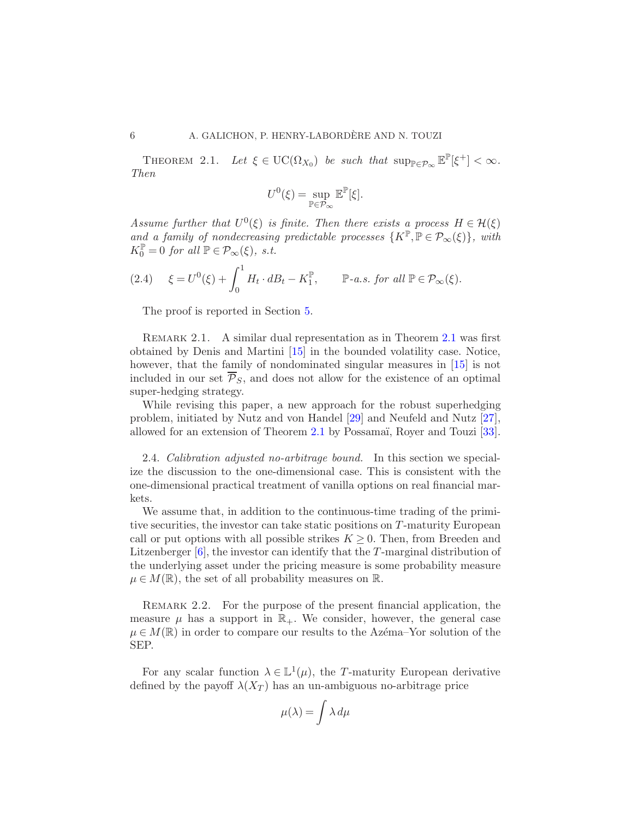THEOREM 2.1. Let  $\xi \in \mathrm{UC}(\Omega_{X_0})$  be such that  $\sup_{\mathbb{P}\in\mathcal{P}_{\infty}} \mathbb{E}^{\mathbb{P}}[\xi^+] < \infty$ . Then

$$
U^0(\xi)=\sup_{\mathbb{P}\in\mathcal{P}_{\infty}}\mathbb{E}^{\mathbb{P}}[\xi].
$$

Assume further that  $U^0(\xi)$  is finite. Then there exists a process  $H \in \mathcal{H}(\xi)$ and a family of nondecreasing predictable processes  $\{K^{\mathbb{P}}, \mathbb{P} \in \mathcal{P}_{\infty}(\xi)\}\$ , with  $K_0^{\mathbb{P}} = 0$  for all  $\mathbb{P} \in \mathcal{P}_{\infty}(\xi)$ , s.t.

$$
(2.4) \quad \xi = U^0(\xi) + \int_0^1 H_t \cdot dB_t - K_1^{\mathbb{P}}, \qquad \mathbb{P}\text{-}a.s. \text{ for all } \mathbb{P} \in \mathcal{P}_{\infty}(\xi).
$$

<span id="page-6-1"></span>The proof is reported in Section [5.](#page-21-0)

REMARK [2.1](#page-5-1). A similar dual representation as in Theorem 2.1 was first obtained by Denis and Martini [\[15](#page-24-12)] in the bounded volatility case. Notice, however, that the family of nondominated singular measures in [\[15](#page-24-12)] is not included in our set  $\overline{P}_s$ , and does not allow for the existence of an optimal super-hedging strategy.

While revising this paper, a new approach for the robust superhedging problem, initiated by Nutz and von Handel [\[29](#page-25-12)] and Neufeld and Nutz [\[27](#page-25-13)], allowed for an extension of Theorem [2.1](#page-5-1) by Possamaï, Royer and Touzi [\[33](#page-25-14)].

<span id="page-6-0"></span>2.4. Calibration adjusted no-arbitrage bound. In this section we specialize the discussion to the one-dimensional case. This is consistent with the one-dimensional practical treatment of vanilla options on real financial markets.

We assume that, in addition to the continuous-time trading of the primitive securities, the investor can take static positions on T-maturity European call or put options with all possible strikes  $K \geq 0$ . Then, from Breeden and Litzenberger  $[6]$ , the investor can identify that the T-marginal distribution of the underlying asset under the pricing measure is some probability measure  $\mu \in M(\mathbb{R})$ , the set of all probability measures on  $\mathbb{R}$ .

REMARK 2.2. For the purpose of the present financial application, the measure  $\mu$  has a support in  $\mathbb{R}_+$ . We consider, however, the general case  $\mu \in M(\mathbb{R})$  in order to compare our results to the Azema–Yor solution of the SEP.

For any scalar function  $\lambda \in \mathbb{L}^1(\mu)$ , the T-maturity European derivative defined by the payoff  $\lambda(X_T)$  has an un-ambiguous no-arbitrage price

$$
\mu(\lambda) = \int \lambda \, d\mu
$$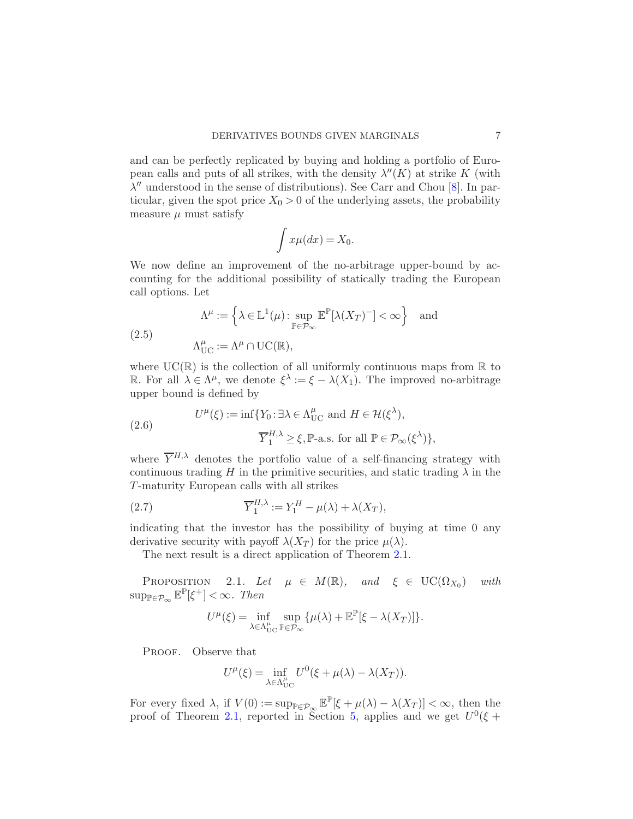and can be perfectly replicated by buying and holding a portfolio of European calls and puts of all strikes, with the density  $\lambda''(K)$  at strike K (with  $\lambda''$  understood in the sense of distributions). See Carr and Chou [\[8](#page-24-13)]. In particular, given the spot price  $X_0 > 0$  of the underlying assets, the probability measure  $\mu$  must satisfy

$$
\int x\mu(dx) = X_0.
$$

We now define an improvement of the no-arbitrage upper-bound by accounting for the additional possibility of statically trading the European call options. Let

<span id="page-7-1"></span>(2.5) 
$$
\Lambda^{\mu} := \left\{ \lambda \in \mathbb{L}^{1}(\mu) : \sup_{\mathbb{P} \in \mathcal{P}_{\infty}} \mathbb{E}^{\mathbb{P}}[\lambda(X_{T})^{-}] < \infty \right\} \text{ and}
$$

$$
\Lambda_{\text{UC}}^{\mu} := \Lambda^{\mu} \cap \text{UC}(\mathbb{R}),
$$

where  $UC(\mathbb{R})$  is the collection of all uniformly continuous maps from  $\mathbb R$  to R. For all  $\lambda \in \Lambda^{\mu}$ , we denote  $\xi^{\lambda} := \xi - \lambda(X_1)$ . The improved no-arbitrage upper bound is defined by

(2.6) 
$$
U^{\mu}(\xi) := \inf \{ Y_0 : \exists \lambda \in \Lambda_{\text{UC}}^{\mu} \text{ and } H \in \mathcal{H}(\xi^{\lambda}),
$$

$$
\overline{Y}_1^{H,\lambda} \ge \xi, \mathbb{P}\text{-a.s. for all } \mathbb{P} \in \mathcal{P}_{\infty}(\xi^{\lambda}) \},
$$

where  $\overline{Y}^{H,\lambda}$  denotes the portfolio value of a self-financing strategy with continuous trading H in the primitive securities, and static trading  $\lambda$  in the T-maturity European calls with all strikes

(2.7) 
$$
\overline{Y}_1^{H,\lambda} := Y_1^H - \mu(\lambda) + \lambda(X_T),
$$

indicating that the investor has the possibility of buying at time 0 any derivative security with payoff  $\lambda(X_T)$  for the price  $\mu(\lambda)$ .

<span id="page-7-0"></span>The next result is a direct application of Theorem [2.1.](#page-5-1)

PROPOSITION 2.1. Let  $\mu \in M(\mathbb{R})$ , and  $\xi \in \text{UC}(\Omega_{X_0})$ ) with  $\sup_{\mathbb{P}\in\mathcal{P}_{\infty}}\mathbb{E}^{\mathbb{P}}[\xi^{+}]<\infty$ . Then

$$
U^{\mu}(\xi) = \inf_{\lambda \in \Lambda_{\text{UC}}^{\mu}} \sup_{\mathbb{P} \in \mathcal{P}_{\infty}} {\{\mu(\lambda) + \mathbb{E}^{\mathbb{P}}[\xi - \lambda(X_T)]\}}.
$$

PROOF. Observe that

$$
U^{\mu}(\xi) = \inf_{\lambda \in \Lambda_{\text{UC}}^{\mu}} U^{0}(\xi + \mu(\lambda) - \lambda(X_{T})).
$$

For every fixed  $\lambda$ , if  $V(0) := \sup_{\mathbb{P} \in \mathcal{P}_{\infty}} \mathbb{E}^{\mathbb{P}}[\xi + \mu(\lambda) - \lambda(X_T)] < \infty$ , then the proof of Theorem [2.1,](#page-5-1) reported in Section [5,](#page-21-0) applies and we get  $U^0(\xi +$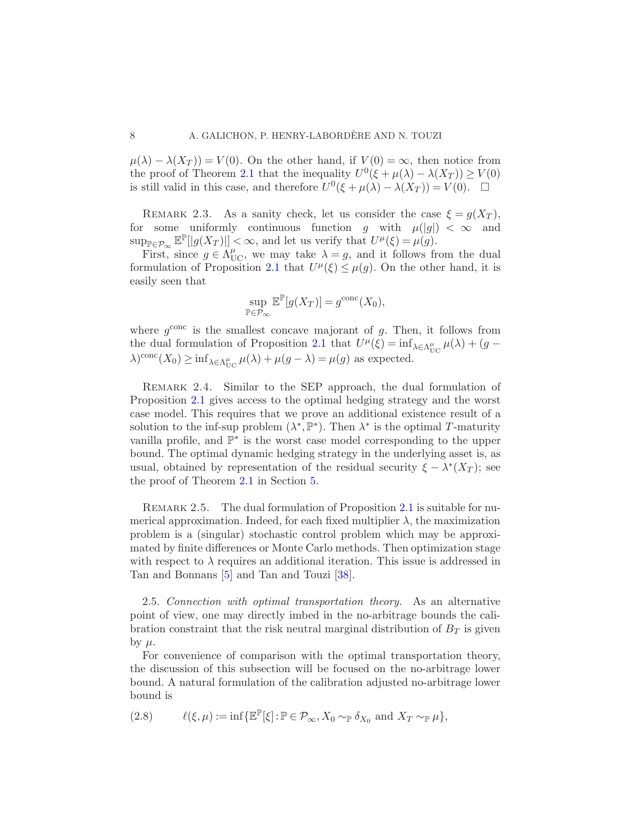$\mu(\lambda) - \lambda(X_T) = V(0)$ . On the other hand, if  $V(0) = \infty$ , then notice from the proof of Theorem [2.1](#page-5-1) that the inequality  $U^0(\xi + \mu(\lambda) - \lambda(X_T)) \ge V(0)$ is still valid in this case, and therefore  $U^0(\xi + \mu(\lambda) - \lambda(X_T)) = V(0)$ .  $\Box$ 

<span id="page-8-1"></span>REMARK 2.3. As a sanity check, let us consider the case  $\xi = g(X_T)$ , for some uniformly continuous function g with  $\mu(|g|) < \infty$  and  $\sup_{\mathbb{P}\in\mathcal{P}_{\infty}}\mathbb{E}^{\mathbb{P}}[|g(X_T)|]<\infty$ , and let us verify that  $U^{\mu}(\xi)=\mu(g).$ 

First, since  $g \in \Lambda_{\text{UC}}^{\mu}$ , we may take  $\lambda = g$ , and it follows from the dual formulation of Proposition [2.1](#page-7-0) that  $U^{\mu}(\xi) \leq \mu(g)$ . On the other hand, it is easily seen that

$$
\sup_{\mathbb{P}\in\mathcal{P}_{\infty}}\mathbb{E}^{\mathbb{P}}[g(X_T)] = g^{\text{conc}}(X_0),
$$

where  $g^{\text{conc}}$  is the smallest concave majorant of g. Then, it follows from the dual formulation of Proposition [2.1](#page-7-0) that  $U^{\mu}(\xi) = \inf_{\lambda \in \Lambda_{\text{UC}}^{\mu}} \mu(\lambda) + (g - \xi)$  $\lambda$ )<sup>conc</sup>(X<sub>0</sub>) ≥ inf<sub> $\lambda \in \Lambda_{\text{UC}}^{\mu}$   $\mu(\lambda) + \mu(g - \lambda) = \mu(g)$  as expected.</sub>

REMARK 2.4. Similar to the SEP approach, the dual formulation of Proposition [2.1](#page-7-0) gives access to the optimal hedging strategy and the worst case model. This requires that we prove an additional existence result of a solution to the inf-sup problem  $(\lambda^*, \mathbb{P}^*)$ . Then  $\lambda^*$  is the optimal T-maturity vanilla profile, and  $\mathbb{P}^*$  is the worst case model corresponding to the upper bound. The optimal dynamic hedging strategy in the underlying asset is, as usual, obtained by representation of the residual security  $\xi - \lambda^*(X_T)$ ; see the proof of Theorem [2.1](#page-5-1) in Section [5.](#page-21-0)

REMARK 2.5. The dual formulation of Proposition [2.1](#page-7-0) is suitable for numerical approximation. Indeed, for each fixed multiplier  $\lambda$ , the maximization problem is a (singular) stochastic control problem which may be approximated by finite differences or Monte Carlo methods. Then optimization stage with respect to  $\lambda$  requires an additional iteration. This issue is addressed in Tan and Bonnans [\[5](#page-24-7)] and Tan and Touzi [\[38](#page-25-5)].

2.5. Connection with optimal transportation theory. As an alternative point of view, one may directly imbed in the no-arbitrage bounds the calibration constraint that the risk neutral marginal distribution of  $B_T$  is given by  $\mu$ .

For convenience of comparison with the optimal transportation theory, the discussion of this subsection will be focused on the no-arbitrage lower bound. A natural formulation of the calibration adjusted no-arbitrage lower bound is

<span id="page-8-0"></span>(2.8) 
$$
\ell(\xi,\mu) := \inf \{ \mathbb{E}^{\mathbb{P}}[\xi] : \mathbb{P} \in \mathcal{P}_{\infty}, X_0 \sim_{\mathbb{P}} \delta_{X_0} \text{ and } X_T \sim_{\mathbb{P}} \mu \},
$$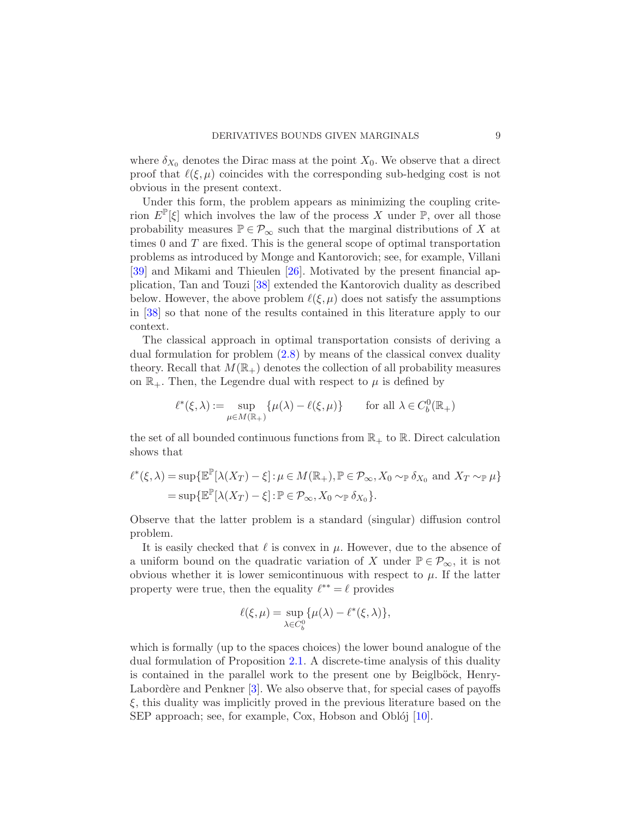where  $\delta_{X_0}$  denotes the Dirac mass at the point  $X_0$ . We observe that a direct proof that  $\ell(\xi,\mu)$  coincides with the corresponding sub-hedging cost is not obvious in the present context.

Under this form, the problem appears as minimizing the coupling criterion  $E^{\mathbb{P}}[\xi]$  which involves the law of the process X under  $\mathbb{P}$ , over all those probability measures  $\mathbb{P} \in \mathcal{P}_{\infty}$  such that the marginal distributions of X at times  $0$  and  $T$  are fixed. This is the general scope of optimal transportation problems as introduced by Monge and Kantorovich; see, for example, Villani [\[39\]](#page-25-4) and Mikami and Thieulen [\[26](#page-25-15)]. Motivated by the present financial application, Tan and Touzi [\[38\]](#page-25-5) extended the Kantorovich duality as described below. However, the above problem  $\ell(\xi,\mu)$  does not satisfy the assumptions in [\[38\]](#page-25-5) so that none of the results contained in this literature apply to our context.

The classical approach in optimal transportation consists of deriving a dual formulation for problem [\(2.8\)](#page-8-0) by means of the classical convex duality theory. Recall that  $M(\mathbb{R}_+)$  denotes the collection of all probability measures on  $\mathbb{R}_+$ . Then, the Legendre dual with respect to  $\mu$  is defined by

$$
\ell^*(\xi,\lambda) := \sup_{\mu \in M(\mathbb{R}_+)} \{ \mu(\lambda) - \ell(\xi,\mu) \} \quad \text{for all } \lambda \in C_b^0(\mathbb{R}_+)
$$

the set of all bounded continuous functions from  $\mathbb{R}_+$  to  $\mathbb{R}$ . Direct calculation shows that

$$
\ell^*(\xi,\lambda) = \sup \{ \mathbb{E}^{\mathbb{P}}[\lambda(X_T) - \xi] : \mu \in M(\mathbb{R}_+), \mathbb{P} \in \mathcal{P}_{\infty}, X_0 \sim_{\mathbb{P}} \delta_{X_0} \text{ and } X_T \sim_{\mathbb{P}} \mu \}
$$
  
=  $\sup \{ \mathbb{E}^{\mathbb{P}}[\lambda(X_T) - \xi] : \mathbb{P} \in \mathcal{P}_{\infty}, X_0 \sim_{\mathbb{P}} \delta_{X_0} \}.$ 

Observe that the latter problem is a standard (singular) diffusion control problem.

It is easily checked that  $\ell$  is convex in  $\mu$ . However, due to the absence of a uniform bound on the quadratic variation of X under  $\mathbb{P} \in \mathcal{P}_{\infty}$ , it is not obvious whether it is lower semicontinuous with respect to  $\mu$ . If the latter property were true, then the equality  $\ell^{**} = \ell$  provides

$$
\ell(\xi,\mu) = \sup_{\lambda \in C_b^0} {\mu(\lambda) - \ell^*(\xi,\lambda)},
$$

which is formally (up to the spaces choices) the lower bound analogue of the dual formulation of Proposition [2.1.](#page-7-0) A discrete-time analysis of this duality is contained in the parallel work to the present one by Beiglböck, Henry-Labord $\acute{e}$ re and Penkner  $[3]$ . We also observe that, for special cases of payoffs  $\xi$ , this duality was implicitly proved in the previous literature based on the SEP approach; see, for example, Cox, Hobson and Oblój [\[10](#page-24-15)].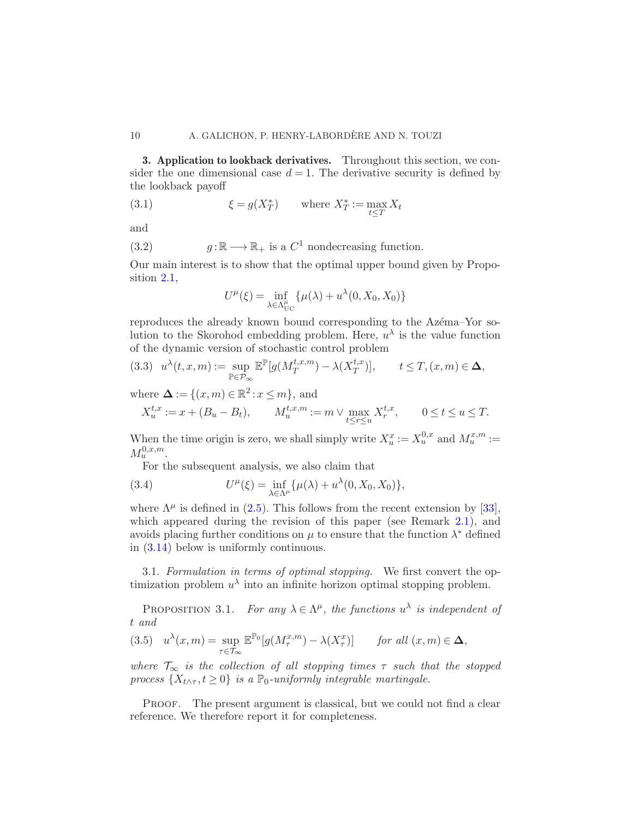<span id="page-10-0"></span>3. Application to lookback derivatives. Throughout this section, we consider the one dimensional case  $d = 1$ . The derivative security is defined by the lookback payoff

(3.1) 
$$
\xi = g(X_T^*) \quad \text{where } X_T^* := \max_{t \leq T} X_t
$$

and

(3.2) 
$$
g: \mathbb{R} \longrightarrow \mathbb{R}_+
$$
 is a  $C^1$  nondecreasing function.

Our main interest is to show that the optimal upper bound given by Proposition [2.1,](#page-7-0)

<span id="page-10-2"></span>
$$
U^{\mu}(\xi) = \inf_{\lambda \in \Lambda_{\text{UC}}^{\mu}} \{ \mu(\lambda) + u^{\lambda}(0, X_0, X_0) \}
$$

reproduces the already known bound corresponding to the Azema–Yor solution to the Skorohod embedding problem. Here,  $u^{\lambda}$  is the value function of the dynamic version of stochastic control problem

<span id="page-10-1"></span>
$$
(3.3) \quad u^{\lambda}(t,x,m) := \sup_{\mathbb{P} \in \mathcal{P}_{\infty}} \mathbb{E}^{\mathbb{P}}[g(M_T^{t,x,m}) - \lambda(X_T^{t,x})], \qquad t \le T, (x,m) \in \Delta,
$$

where  $\Delta := \{(x, m) \in \mathbb{R}^2 : x \leq m\}$ , and

$$
X_u^{t,x} := x + (B_u - B_t), \qquad M_u^{t,x,m} := m \vee \max_{t \le r \le u} X_r^{t,x}, \qquad 0 \le t \le u \le T.
$$

When the time origin is zero, we shall simply write  $X_u^x := X_u^{0,x}$  and  $M_u^{x,m} :=$  $M_u^{0,x,m}$ .

For the subsequent analysis, we also claim that

(3.4) 
$$
U^{\mu}(\xi) = \inf_{\lambda \in \Lambda^{\mu}} \{ \mu(\lambda) + u^{\lambda}(0, X_0, X_0) \},
$$

where  $\Lambda^{\mu}$  is defined in [\(2.5\)](#page-7-1). This follows from the recent extension by [\[33](#page-25-14)], which appeared during the revision of this paper (see Remark [2.1\)](#page-6-1), and avoids placing further conditions on  $\mu$  to ensure that the function  $\lambda^*$  defined in [\(3.14\)](#page-12-0) below is uniformly continuous.

3.1. Formulation in terms of optimal stopping. We first convert the optimization problem  $u^{\lambda}$  into an infinite horizon optimal stopping problem.

PROPOSITION 3.1. For any  $\lambda \in \Lambda^{\mu}$ , the functions  $u^{\lambda}$  is independent of t and

(3.5) 
$$
u^{\lambda}(x,m) = \sup_{\tau \in \mathcal{T}_{\infty}} \mathbb{E}^{\mathbb{P}_{0}}[g(M_{\tau}^{x,m}) - \lambda(X_{\tau}^{x})] \quad \text{for all } (x,m) \in \Delta,
$$

where  $\mathcal{T}_{\infty}$  is the collection of all stopping times  $\tau$  such that the stopped process  $\{X_{t \wedge \tau}, t \geq 0\}$  is a  $\mathbb{P}_0$ -uniformly integrable martingale.

PROOF. The present argument is classical, but we could not find a clear reference. We therefore report it for completeness.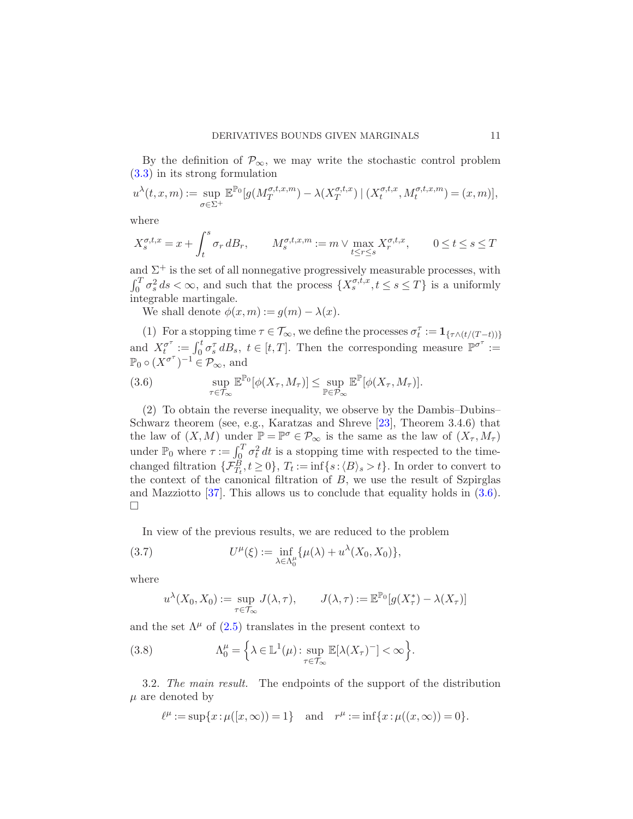By the definition of  $\mathcal{P}_{\infty}$ , we may write the stochastic control problem [\(3.3\)](#page-10-1) in its strong formulation

$$
u^{\lambda}(t,x,m) := \sup_{\sigma \in \Sigma^{+}} \mathbb{E}^{\mathbb{P}_{0}}[g(M_{T}^{\sigma,t,x,m}) - \lambda(X_{T}^{\sigma,t,x}) | (X_{t}^{\sigma,t,x}, M_{t}^{\sigma,t,x,m}) = (x,m)],
$$

where

$$
X^{\sigma,t,x}_s = x + \int_t^s \sigma_r \, dB_r, \qquad M^{\sigma,t,x,m}_s := m \vee \max_{t \leq r \leq s} X^{\sigma,t,x}_r, \qquad 0 \leq t \leq s \leq T
$$

and  $\Sigma^+$  is the set of all nonnegative progressively measurable processes, with  $\int_0^T \sigma_s^2 ds < \infty$ , and such that the process  $\{X_s^{\sigma,t,x}, t \le s \le T\}$  is a uniformly integrable martingale.

We shall denote  $\phi(x,m) := q(m) - \lambda(x)$ .

(1) For a stopping time  $\tau \in \mathcal{T}_{\infty}$ , we define the processes  $\sigma_t^{\tau} := \mathbf{1}_{\{\tau \wedge (t/(T-t))\}}$ and  $X_t^{\sigma^{\tau}}$  $\sigma_t^{\sigma} := \int_0^t \sigma_s^{\tau} dB_s, t \in [t, T].$  Then the corresponding measure  $\mathbb{P}^{\sigma^{\tau}} :=$  $\mathbb{P}_0 \circ (X^{\sigma^{\tau}})^{-1} \in \mathcal{P}_{\infty}$ , and

<span id="page-11-0"></span>(3.6) 
$$
\sup_{\tau \in \mathcal{T}_{\infty}} \mathbb{E}^{\mathbb{P}_0}[\phi(X_{\tau}, M_{\tau})] \leq \sup_{\mathbb{P} \in \mathcal{P}_{\infty}} \mathbb{E}^{\mathbb{P}}[\phi(X_{\tau}, M_{\tau})].
$$

(2) To obtain the reverse inequality, we observe by the Dambis–Dubins– Schwarz theorem (see, e.g., Karatzas and Shreve [\[23](#page-25-16)], Theorem 3.4.6) that the law of  $(X, M)$  under  $\mathbb{P} = \mathbb{P}^{\sigma} \in \mathcal{P}_{\infty}$  is the same as the law of  $(X_{\tau}, M_{\tau})$ under  $\mathbb{P}_0$  where  $\tau := \int_{\Omega}^T \sigma_t^2 dt$  is a stopping time with respected to the timechanged filtration  $\{\mathcal{F}_{T_t}^B, t \geq 0\}$ ,  $T_t := \inf\{s : \langle B \rangle_s > t\}$ . In order to convert to the context of the canonical filtration of  $B$ , we use the result of Szpirglas and Mazziotto  $[37]$ . This allows us to conclude that equality holds in  $(3.6)$ .  $\Box$ 

In view of the previous results, we are reduced to the problem

(3.7) 
$$
U^{\mu}(\xi) := \inf_{\lambda \in \Lambda_0^{\mu}} \{ \mu(\lambda) + u^{\lambda}(X_0, X_0) \},
$$

where

$$
u^{\lambda}(X_0, X_0) := \sup_{\tau \in \mathcal{T}_{\infty}} J(\lambda, \tau), \qquad J(\lambda, \tau) := \mathbb{E}^{\mathbb{P}_0}[g(X_{\tau}^*) - \lambda(X_{\tau})]
$$

and the set  $\Lambda^{\mu}$  of [\(2.5\)](#page-7-1) translates in the present context to

(3.8) 
$$
\Lambda_0^{\mu} = \left\{ \lambda \in \mathbb{L}^1(\mu) : \sup_{\tau \in \mathcal{T}_{\infty}} \mathbb{E}[\lambda(X_{\tau})^{-}] < \infty \right\}.
$$

3.2. The main result. The endpoints of the support of the distribution  $\mu$  are denoted by

$$
\ell^{\mu} := \sup\{x : \mu([x,\infty)) = 1\} \text{ and } r^{\mu} := \inf\{x : \mu((x,\infty)) = 0\}.
$$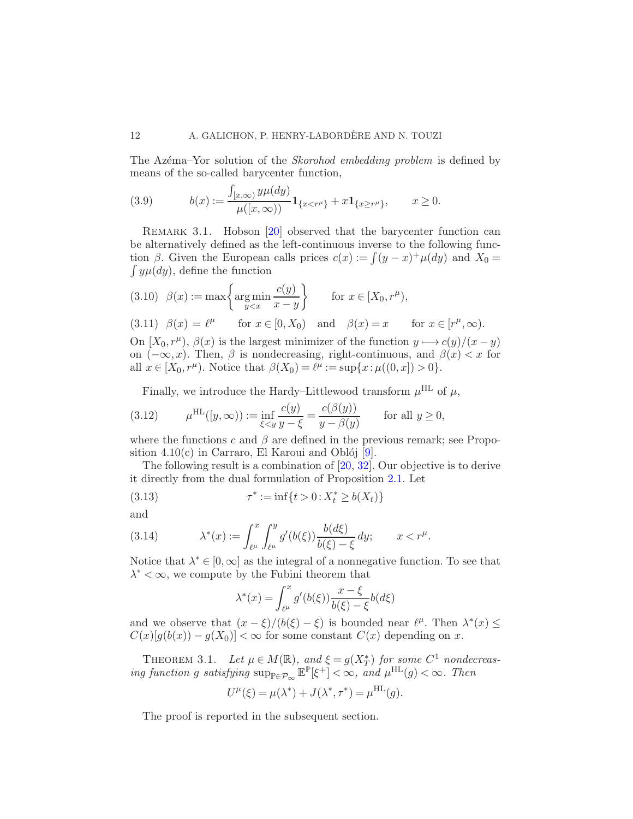The Azema–Yor solution of the *Skorohod embedding problem* is defined by means of the so-called barycenter function,

<span id="page-12-1"></span>(3.9) 
$$
b(x) := \frac{\int_{[x,\infty)} y \mu(dy)}{\mu([x,\infty))} \mathbf{1}_{\{x < r^{\mu}\}} + x \mathbf{1}_{\{x \ge r^{\mu}\}}, \qquad x \ge 0.
$$

<span id="page-12-2"></span>REMARK 3.1. Hobson [\[20](#page-25-2)] observed that the barycenter function can be alternatively defined as the left-continuous inverse to the following function  $\beta$ . Given the European calls prices  $c(x) := \int (y - x)^{+} \mu(dy)$  and  $X_0 =$  $\int y \mu(dy)$ , define the function

(3.10) 
$$
\beta(x) := \max \left\{ \operatorname*{arg\,min}_{y < x} \frac{c(y)}{x - y} \right\}
$$
 for  $x \in [X_0, r^\mu)$ ,  
\n(3.11)  $\beta(x) = \ell^\mu$  for  $x \in [0, X_0)$  and  $\beta(x) = x$  for  $x \in [r^\mu, \infty)$ .  
\nOn  $[X_0, r^\mu)$ ,  $\beta(x)$  is the largest minimizer of the function  $y \mapsto c(y)/(x - y)$   
\non  $(-\infty, x)$ . Then,  $\beta$  is nondecreasing, right-continuous, and  $\beta(x) < x$  for  
\nall  $x \in [X_0, r^\mu)$ . Notice that  $\beta(X_0) = \ell^\mu := \sup\{x : \mu((0, x]) > 0\}$ .

Finally, we introduce the Hardy–Littlewood transform  $\mu^{\text{HL}}$  of  $\mu$ ,

(3.12) 
$$
\mu^{\text{HL}}([y,\infty)) := \inf_{\xi < y} \frac{c(y)}{y - \xi} = \frac{c(\beta(y))}{y - \beta(y)} \quad \text{for all } y \ge 0,
$$

where the functions c and  $\beta$  are defined in the previous remark; see Proposition  $4.10(c)$  in Carraro, El Karoui and Oblój [\[9](#page-24-16)].

The following result is a combination of [\[20,](#page-25-2) [32\]](#page-25-18). Our objective is to derive it directly from the dual formulation of Proposition [2.1.](#page-7-0) Let

(3.13) 
$$
\tau^* := \inf\{t > 0 : X_t^* \ge b(X_t)\}
$$

and

(3.14) 
$$
\lambda^*(x) := \int_{\ell^{\mu}}^x \int_{\ell^{\mu}}^y g'(b(\xi)) \frac{b(d\xi)}{b(\xi) - \xi} dy; \qquad x < r^{\mu}.
$$

Notice that  $\lambda^* \in [0, \infty]$  as the integral of a nonnegative function. To see that  $\lambda^* < \infty$ , we compute by the Fubini theorem that

<span id="page-12-4"></span><span id="page-12-0"></span>
$$
\lambda^*(x) = \int_{\ell^{\mu}}^{x} g'(b(\xi)) \frac{x - \xi}{b(\xi) - \xi} b(d\xi)
$$

<span id="page-12-3"></span>and we observe that  $(x - \xi)/(b(\xi) - \xi)$  is bounded near  $\ell^{\mu}$ . Then  $\lambda^*(x) \leq$  $C(x)[g(b(x)) - g(X_0)] < \infty$  for some constant  $C(x)$  depending on x.

THEOREM 3.1. Let  $\mu \in M(\mathbb{R})$ , and  $\xi = g(X_T^*)$  for some  $C^1$  nondecreasing function g satisfying  $\sup_{\mathbb{P}\in\mathcal{P}_{\infty}}\mathbb{E}^{\mathbb{P}}[\xi^+] < \infty$ , and  $\mu^{\text{HL}}(g) < \infty$ . Then

$$
U^{\mu}(\xi) = \mu(\lambda^*) + J(\lambda^*, \tau^*) = \mu^{\text{HL}}(g).
$$

The proof is reported in the subsequent section.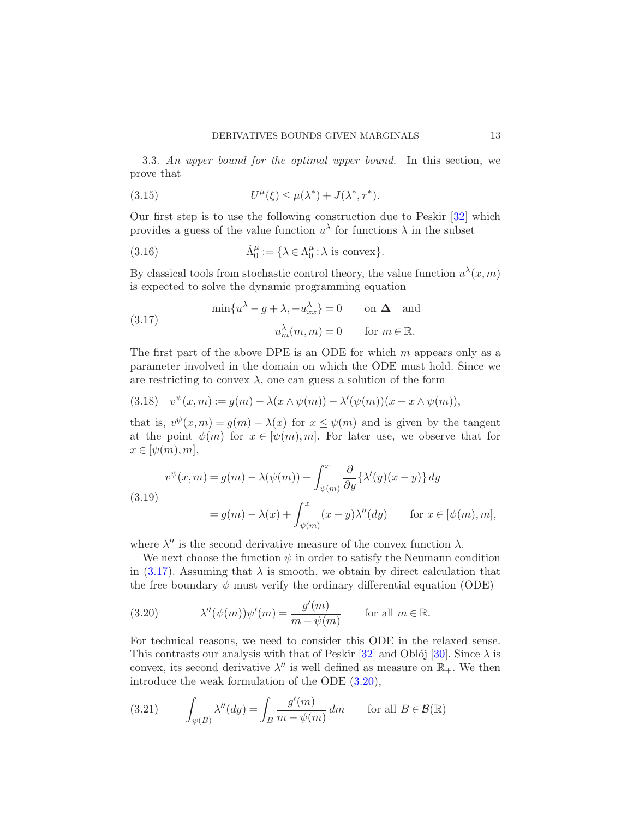3.3. An upper bound for the optimal upper bound. In this section, we prove that

<span id="page-13-5"></span>(3.15) 
$$
U^{\mu}(\xi) \leq \mu(\lambda^*) + J(\lambda^*, \tau^*).
$$

Our first step is to use the following construction due to Peskir [\[32\]](#page-25-18) which provides a guess of the value function  $u^{\lambda}$  for functions  $\lambda$  in the subset

(3.16) 
$$
\hat{\Lambda}_0^{\mu} := {\lambda \in \Lambda_0^{\mu} : \lambda \text{ is convex}}.
$$

By classical tools from stochastic control theory, the value function  $u^{\lambda}(x,m)$ is expected to solve the dynamic programming equation

<span id="page-13-0"></span>(3.17) 
$$
\min\{u^{\lambda} - g + \lambda, -u_{xx}^{\lambda}\} = 0 \quad \text{on } \Delta \text{ and}
$$

$$
u_m^{\lambda}(m, m) = 0 \quad \text{for } m \in \mathbb{R}.
$$

The first part of the above DPE is an ODE for which  $m$  appears only as a parameter involved in the domain on which the ODE must hold. Since we are restricting to convex  $\lambda$ , one can guess a solution of the form

<span id="page-13-3"></span>
$$
(3.18) \quad v^{\psi}(x,m) := g(m) - \lambda(x \wedge \psi(m)) - \lambda'(\psi(m))(x - x \wedge \psi(m)),
$$

that is,  $v^{\psi}(x,m) = g(m) - \lambda(x)$  for  $x \leq \psi(m)$  and is given by the tangent at the point  $\psi(m)$  for  $x \in [\psi(m), m]$ . For later use, we observe that for  $x \in [\psi(m), m],$ 

<span id="page-13-4"></span>(3.19)  

$$
v^{\psi}(x,m) = g(m) - \lambda(\psi(m)) + \int_{\psi(m)}^{x} \frac{\partial}{\partial y} {\lambda'(y)(x - y)} dy
$$

$$
= g(m) - \lambda(x) + \int_{\psi(m)}^{x} (x - y) \lambda''(dy) \quad \text{for } x \in [\psi(m), m],
$$

where  $\lambda''$  is the second derivative measure of the convex function  $\lambda$ .

We next choose the function  $\psi$  in order to satisfy the Neumann condition in [\(3.17\)](#page-13-0). Assuming that  $\lambda$  is smooth, we obtain by direct calculation that the free boundary  $\psi$  must verify the ordinary differential equation (ODE)

<span id="page-13-1"></span>(3.20) 
$$
\lambda''(\psi(m))\psi'(m) = \frac{g'(m)}{m - \psi(m)} \quad \text{for all } m \in \mathbb{R}.
$$

For technical reasons, we need to consider this ODE in the relaxed sense. This contrasts our analysis with that of Peskir [\[32](#page-25-18)] and Oblój [\[30](#page-25-19)]. Since  $\lambda$  is convex, its second derivative  $\lambda''$  is well defined as measure on  $\mathbb{R}_+$ . We then introduce the weak formulation of the ODE [\(3.20\)](#page-13-1),

<span id="page-13-2"></span>(3.21) 
$$
\int_{\psi(B)} \lambda''(dy) = \int_B \frac{g'(m)}{m - \psi(m)} dm \quad \text{for all } B \in \mathcal{B}(\mathbb{R})
$$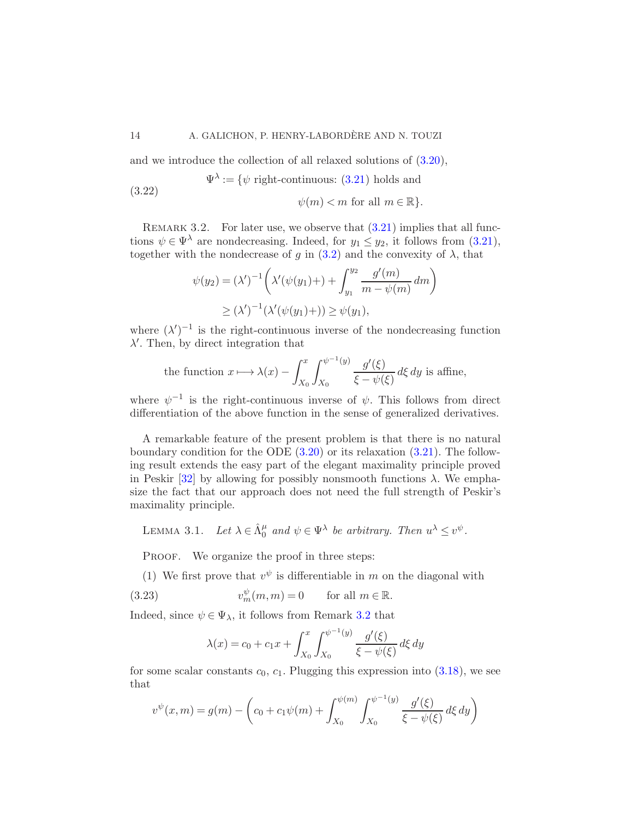and we introduce the collection of all relaxed solutions of [\(3.20\)](#page-13-1),

(3.22) 
$$
\Psi^{\lambda} := \{ \psi \text{ right-continuous: } (3.21) \text{ holds and}
$$

 $\psi(m) < m$  for all  $m \in \mathbb{R}$ .

<span id="page-14-0"></span>REMARK 3.2. For later use, we observe that  $(3.21)$  implies that all functions  $\psi \in \Psi^{\lambda}$  are nondecreasing. Indeed, for  $y_1 \leq y_2$ , it follows from [\(3.21\)](#page-13-2), together with the nondecrease of g in  $(3.2)$  and the convexity of  $\lambda$ , that

$$
\psi(y_2) = (\lambda')^{-1} \left( \lambda'(\psi(y_1) + ) + \int_{y_1}^{y_2} \frac{g'(m)}{m - \psi(m)} dm \right)
$$
  
 
$$
\geq (\lambda')^{-1} (\lambda'(\psi(y_1) +)) \geq \psi(y_1),
$$

where  $(\lambda')^{-1}$  is the right-continuous inverse of the nondecreasing function λ ′ . Then, by direct integration that

the function 
$$
x \mapsto \lambda(x) - \int_{X_0}^x \int_{X_0}^{\psi^{-1}(y)} \frac{g'(\xi)}{\xi - \psi(\xi)} d\xi dy
$$
 is affine,

where  $\psi^{-1}$  is the right-continuous inverse of  $\psi$ . This follows from direct differentiation of the above function in the sense of generalized derivatives.

A remarkable feature of the present problem is that there is no natural boundary condition for the ODE  $(3.20)$  or its relaxation  $(3.21)$ . The following result extends the easy part of the elegant maximality principle proved in Peskir [\[32](#page-25-18)] by allowing for possibly nonsmooth functions  $\lambda$ . We emphasize the fact that our approach does not need the full strength of Peskir's maximality principle.

<span id="page-14-2"></span>LEMMA 3.1. Let  $\lambda \in \hat{\Lambda}_0^{\mu}$  and  $\psi \in \Psi^{\lambda}$  be arbitrary. Then  $u^{\lambda} \leq v^{\psi}$ .

PROOF. We organize the proof in three steps:

(1) We first prove that  $v^{\psi}$  is differentiable in m on the diagonal with

(3.23)  $v_m^{\psi}(m,m) = 0$  for all  $m \in \mathbb{R}$ .

Indeed, since  $\psi \in \Psi_{\lambda}$ , it follows from Remark [3.2](#page-14-0) that

<span id="page-14-1"></span>
$$
\lambda(x) = c_0 + c_1 x + \int_{X_0}^x \int_{X_0}^{\psi^{-1}(y)} \frac{g'(\xi)}{\xi - \psi(\xi)} d\xi \, dy
$$

for some scalar constants  $c_0$ ,  $c_1$ . Plugging this expression into  $(3.18)$ , we see that

$$
v^{\psi}(x,m) = g(m) - \left(c_0 + c_1\psi(m) + \int_{X_0}^{\psi(m)} \int_{X_0}^{\psi^{-1}(y)} \frac{g'(\xi)}{\xi - \psi(\xi)} d\xi dy\right)
$$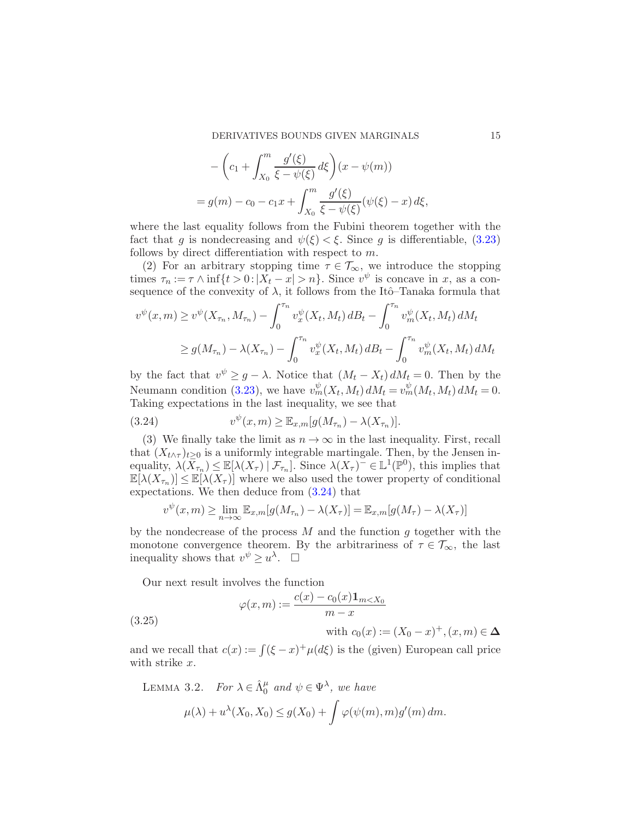$$
- \left(c_1 + \int_{X_0}^m \frac{g'(\xi)}{\xi - \psi(\xi)} d\xi\right) (x - \psi(m))
$$
  
=  $g(m) - c_0 - c_1 x + \int_{X_0}^m \frac{g'(\xi)}{\xi - \psi(\xi)} (\psi(\xi) - x) d\xi,$ 

where the last equality follows from the Fubini theorem together with the fact that g is nondecreasing and  $\psi(\xi) < \xi$ . Since g is differentiable, [\(3.23\)](#page-14-1) follows by direct differentiation with respect to  $m$ .

(2) For an arbitrary stopping time  $\tau \in \mathcal{T}_{\infty}$ , we introduce the stopping times  $\tau_n := \tau \wedge \inf\{t > 0 : |X_t - x| > n\}$ . Since  $v^{\psi}$  is concave in x, as a consequence of the convexity of  $\lambda$ , it follows from the Itô–Tanaka formula that

$$
v^{\psi}(x,m) \ge v^{\psi}(X_{\tau_n}, M_{\tau_n}) - \int_0^{\tau_n} v_x^{\psi}(X_t, M_t) dB_t - \int_0^{\tau_n} v_m^{\psi}(X_t, M_t) dM_t
$$
  
 
$$
\ge g(M_{\tau_n}) - \lambda(X_{\tau_n}) - \int_0^{\tau_n} v_x^{\psi}(X_t, M_t) dB_t - \int_0^{\tau_n} v_m^{\psi}(X_t, M_t) dM_t
$$

by the fact that  $v^{\psi} \geq g - \lambda$ . Notice that  $(M_t - X_t) dM_t = 0$ . Then by the Neumann condition [\(3.23\)](#page-14-1), we have  $v_m^{\psi}(X_t, M_t) dM_t = v_m^{\psi}(M_t, M_t) dM_t = 0$ . Taking expectations in the last inequality, we see that

<span id="page-15-0"></span>(3.24) 
$$
v^{\psi}(x,m) \geq \mathbb{E}_{x,m}[g(M_{\tau_n}) - \lambda(X_{\tau_n})].
$$

(3) We finally take the limit as  $n \to \infty$  in the last inequality. First, recall that  $(X_{t\wedge \tau})_{t\geq 0}$  is a uniformly integrable martingale. Then, by the Jensen inequality,  $\lambda(\bar{X}_{\tau_n}) \leq \mathbb{E}[\lambda(X_{\tau}) | \mathcal{F}_{\tau_n}]$ . Since  $\lambda(X_{\tau})^{\top} \in \mathbb{L}^1(\mathbb{P}^0)$ , this implies that  $\mathbb{E}[\lambda(X_{\tau_n})] \leq \mathbb{E}[\lambda(X_{\tau})]$  where we also used the tower property of conditional expectations. We then deduce from [\(3.24\)](#page-15-0) that

$$
v^{\psi}(x,m) \ge \lim_{n \to \infty} \mathbb{E}_{x,m}[g(M_{\tau_n}) - \lambda(X_{\tau})] = \mathbb{E}_{x,m}[g(M_{\tau}) - \lambda(X_{\tau})]
$$

by the nondecrease of the process  $M$  and the function  $q$  together with the monotone convergence theorem. By the arbitrariness of  $\tau \in \mathcal{T}_{\infty}$ , the last inequality shows that  $v^{\psi} \geq u^{\lambda}$ .  $\Box$ 

Our next result involves the function

(3.25)

$$
\varphi(x,m) := \frac{c(x) - c_0(x)\mathbf{1}_{m
$$

with  $c_0(x) := (X_0 - x)^+, (x, m) \in \Delta$ 

<span id="page-15-1"></span>and we recall that  $c(x) := \int (\xi - x)^{+} \mu(d\xi)$  is the (given) European call price with strike x.

LEMMA 3.2. For  $\lambda \in \hat{\Lambda}_0^{\mu}$  and  $\psi \in \Psi^{\lambda}$ , we have

$$
\mu(\lambda) + u^{\lambda}(X_0, X_0) \le g(X_0) + \int \varphi(\psi(m), m) g'(m) dm.
$$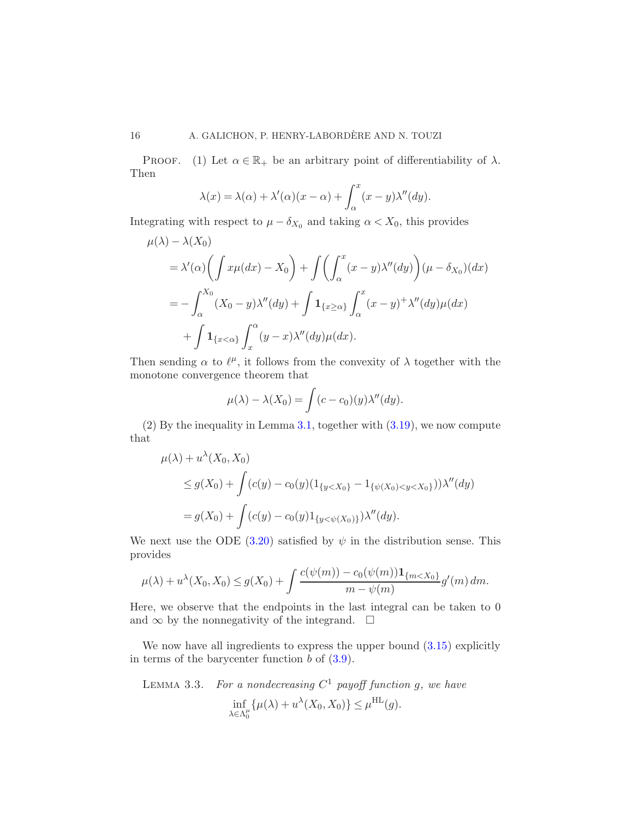PROOF. (1) Let  $\alpha \in \mathbb{R}_+$  be an arbitrary point of differentiability of  $\lambda$ . Then

$$
\lambda(x) = \lambda(\alpha) + \lambda'(\alpha)(x - \alpha) + \int_{\alpha}^{x} (x - y)\lambda''(dy).
$$

Integrating with respect to  $\mu - \delta_{X_0}$  and taking  $\alpha < X_0$ , this provides

$$
\mu(\lambda) - \lambda(X_0)
$$
  
=  $\lambda'(\alpha) \left( \int x\mu(dx) - X_0 \right) + \int \left( \int_\alpha^x (x - y) \lambda''(dy) \right) (\mu - \delta_{X_0})(dx)$   
=  $-\int_\alpha^{X_0} (X_0 - y) \lambda''(dy) + \int \mathbf{1}_{\{x \ge \alpha\}} \int_\alpha^x (x - y)^+ \lambda''(dy) \mu(dx)$   
+  $\int \mathbf{1}_{\{x < \alpha\}} \int_x^\alpha (y - x) \lambda''(dy) \mu(dx).$ 

Then sending  $\alpha$  to  $\ell^{\mu}$ , it follows from the convexity of  $\lambda$  together with the monotone convergence theorem that

$$
\mu(\lambda) - \lambda(X_0) = \int (c - c_0)(y) \lambda''(dy).
$$

(2) By the inequality in Lemma [3.1,](#page-14-2) together with [\(3.19\)](#page-13-4), we now compute that

$$
\mu(\lambda) + u^{\lambda}(X_0, X_0)
$$
  
\n
$$
\leq g(X_0) + \int (c(y) - c_0(y)(1_{\{y < X_0\}} - 1_{\{\psi(X_0) < y < X_0\}}))\lambda''(dy)
$$
  
\n
$$
= g(X_0) + \int (c(y) - c_0(y)1_{\{y < \psi(X_0)\}})\lambda''(dy).
$$

We next use the ODE [\(3.20\)](#page-13-1) satisfied by  $\psi$  in the distribution sense. This provides

$$
\mu(\lambda) + u^{\lambda}(X_0, X_0) \le g(X_0) + \int \frac{c(\psi(m)) - c_0(\psi(m)) \mathbf{1}_{\{m < X_0\}}}{m - \psi(m)} g'(m) \, dm.
$$

Here, we observe that the endpoints in the last integral can be taken to 0 and  $\infty$  by the nonnegativity of the integrand.  $\square$ 

We now have all ingredients to express the upper bound  $(3.15)$  explicitly in terms of the barycenter function  $b$  of  $(3.9)$ .

LEMMA 3.3. For a nondecreasing  $C^1$  payoff function g, we have

$$
\inf_{\lambda \in \Lambda_0^{\mu}} {\{\mu(\lambda) + u^{\lambda}(X_0, X_0)\}} \leq \mu^{\text{HL}}(g).
$$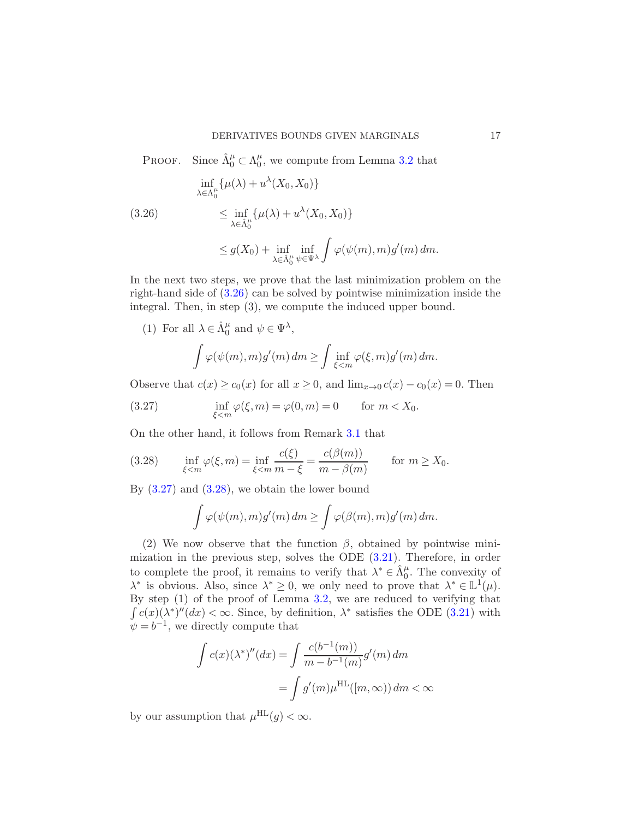<span id="page-17-0"></span>PROOF. Since  $\hat{\Lambda}_{0}^{\mu} \subset \Lambda_{0}^{\mu}$  $_{0}^{\mu}$ , we compute from Lemma [3.2](#page-15-1) that

$$
\inf_{\lambda \in \Lambda_0^{\mu}} \{\mu(\lambda) + u^{\lambda}(X_0, X_0)\}
$$
\n
$$
\leq \inf_{\lambda \in \hat{\Lambda}_0^{\mu}} \{\mu(\lambda) + u^{\lambda}(X_0, X_0)\}
$$
\n
$$
\leq g(X_0) + \inf_{\lambda \in \hat{\Lambda}_0^{\mu}} \inf_{\psi \in \Psi^{\lambda}} \int \varphi(\psi(m), m) g'(m) \, dm.
$$

In the next two steps, we prove that the last minimization problem on the right-hand side of [\(3.26\)](#page-17-0) can be solved by pointwise minimization inside the integral. Then, in step (3), we compute the induced upper bound.

(1) For all  $\lambda \in \hat{\Lambda}_0^{\mu}$  and  $\psi \in \Psi^{\lambda}$ ,

<span id="page-17-1"></span>
$$
\int \varphi(\psi(m), m) g'(m) \, dm \ge \int \inf_{\xi < m} \varphi(\xi, m) g'(m) \, dm.
$$

Observe that  $c(x) \ge c_0(x)$  for all  $x \ge 0$ , and  $\lim_{x\to 0} c(x) - c_0(x) = 0$ . Then

(3.27) 
$$
\inf_{\xi < m} \varphi(\xi, m) = \varphi(0, m) = 0 \quad \text{for } m < X_0.
$$

On the other hand, it follows from Remark [3.1](#page-12-2) that

(3.28) 
$$
\inf_{\xi < m} \varphi(\xi, m) = \inf_{\xi < m} \frac{c(\xi)}{m - \xi} = \frac{c(\beta(m))}{m - \beta(m)} \quad \text{for } m \ge X_0.
$$

By  $(3.27)$  and  $(3.28)$ , we obtain the lower bound

<span id="page-17-2"></span>
$$
\int \varphi(\psi(m), m) g'(m) dm \ge \int \varphi(\beta(m), m) g'(m) dm.
$$

(2) We now observe that the function  $\beta$ , obtained by pointwise minimization in the previous step, solves the ODE [\(3.21\)](#page-13-2). Therefore, in order to complete the proof, it remains to verify that  $\lambda^* \in \hat{\Lambda}_0^{\mu}$ . The convexity of  $\lambda^*$  is obvious. Also, since  $\lambda^* \geq 0$ , we only need to prove that  $\lambda^* \in \mathbb{L}^1(\mu)$ . By step (1) of the proof of Lemma [3.2,](#page-15-1) we are reduced to verifying that  $\int c(x)(\lambda^*)''(dx) < \infty$ . Since, by definition,  $\lambda^*$  satisfies the ODE [\(3.21\)](#page-13-2) with  $\psi = b^{-1}$ , we directly compute that

$$
\int c(x) (\lambda^*)''(dx) = \int \frac{c(b^{-1}(m))}{m - b^{-1}(m)} g'(m) dm
$$

$$
= \int g'(m) \mu^{\text{HL}}([m, \infty)) dm < \infty
$$

by our assumption that  $\mu^{\text{HL}}(g) < \infty$ .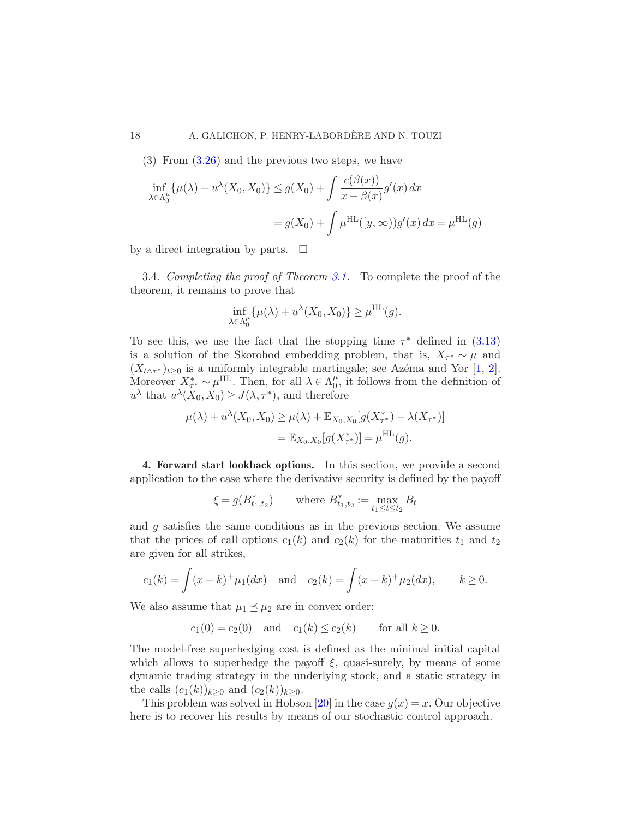$(3)$  From  $(3.26)$  and the previous two steps, we have

$$
\inf_{\lambda \in \Lambda_0^{\mu}} \{\mu(\lambda) + u^{\lambda}(X_0, X_0)\} \le g(X_0) + \int \frac{c(\beta(x))}{x - \beta(x)} g'(x) dx
$$

$$
= g(X_0) + \int \mu^{\text{HL}}([y, \infty)) g'(x) dx = \mu^{\text{HL}}(g)
$$

by a direct integration by parts.  $\Box$ 

<span id="page-18-1"></span>3.4. Completing the proof of Theorem [3.1.](#page-12-3) To complete the proof of the theorem, it remains to prove that

$$
\inf_{\lambda \in \Lambda_0^{\mu}} \{\mu(\lambda) + u^{\lambda}(X_0, X_0)\} \ge \mu^{\text{HL}}(g).
$$

To see this, we use the fact that the stopping time  $\tau^*$  defined in [\(3.13\)](#page-12-4) is a solution of the Skorohod embedding problem, that is,  $X_{\tau^*} \sim \mu$  and  $(X_{t\wedge\tau^*})_{t\geq0}$  is a uniformly integrable martingale; see Azema and Yor [\[1,](#page-24-8) [2](#page-24-9)]. Moreover  $X^*_{\tau^*} \sim \mu^{\text{HL}}$ . Then, for all  $\lambda \in \Lambda_0^{\mu}$  $\mu_0^{\mu}$ , it follows from the definition of  $u^{\lambda}$  that  $u^{\lambda}(X_0, X_0) \geq J(\lambda, \tau^*)$ , and therefore

$$
\mu(\lambda) + u^{\lambda}(X_0, X_0) \ge \mu(\lambda) + \mathbb{E}_{X_0, X_0}[g(X_{\tau^*}^*) - \lambda(X_{\tau^*})]
$$
  
=  $\mathbb{E}_{X_0, X_0}[g(X_{\tau^*}^*)] = \mu^{\text{HL}}(g).$ 

<span id="page-18-0"></span>4. Forward start lookback options. In this section, we provide a second application to the case where the derivative security is defined by the payoff

$$
\xi = g(B^*_{t_1,t_2})
$$
 where  $B^*_{t_1,t_2} := \max_{t_1 \le t \le t_2} B_t$ 

and g satisfies the same conditions as in the previous section. We assume that the prices of call options  $c_1(k)$  and  $c_2(k)$  for the maturities  $t_1$  and  $t_2$ are given for all strikes,

$$
c_1(k) = \int (x - k)^+ \mu_1(dx)
$$
 and  $c_2(k) = \int (x - k)^+ \mu_2(dx)$ ,  $k \ge 0$ .

We also assume that  $\mu_1 \preceq \mu_2$  are in convex order:

$$
c_1(0) = c_2(0)
$$
 and  $c_1(k) \le c_2(k)$  for all  $k \ge 0$ .

The model-free superhedging cost is defined as the minimal initial capital which allows to superhedge the payoff  $\xi$ , quasi-surely, by means of some dynamic trading strategy in the underlying stock, and a static strategy in the calls  $(c_1(k))_{k>0}$  and  $(c_2(k))_{k>0}$ .

This problem was solved in Hobson [\[20](#page-25-2)] in the case  $g(x) = x$ . Our objective here is to recover his results by means of our stochastic control approach.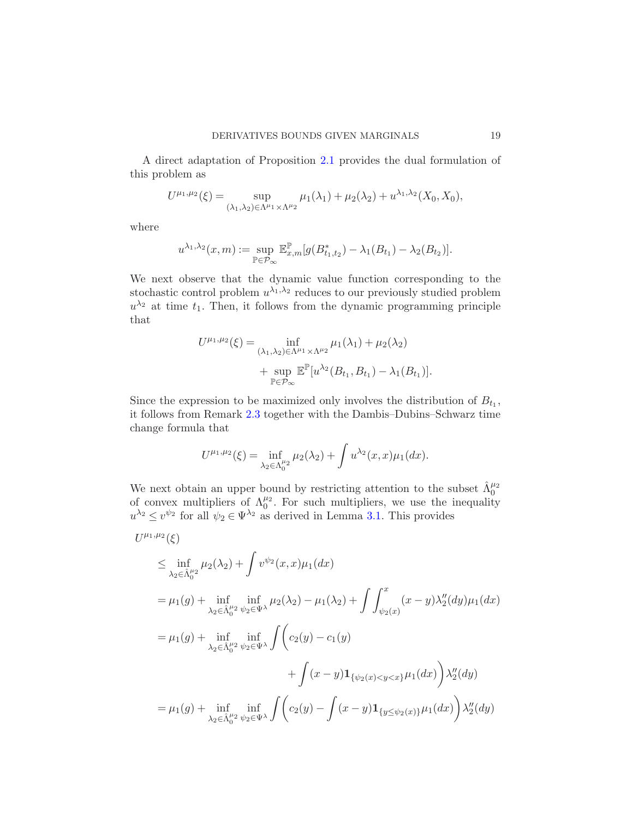A direct adaptation of Proposition [2.1](#page-7-0) provides the dual formulation of this problem as

$$
U^{\mu_1,\mu_2}(\xi) = \sup_{(\lambda_1,\lambda_2)\in\Lambda^{\mu_1}\times\Lambda^{\mu_2}} \mu_1(\lambda_1) + \mu_2(\lambda_2) + u^{\lambda_1,\lambda_2}(X_0,X_0),
$$

where

$$
u^{\lambda_1, \lambda_2}(x, m) := \sup_{\mathbb{P} \in \mathcal{P}_{\infty}} \mathbb{E}^{\mathbb{P}}_{x, m}[g(B^*_{t_1, t_2}) - \lambda_1(B_{t_1}) - \lambda_2(B_{t_2})].
$$

We next observe that the dynamic value function corresponding to the stochastic control problem  $u^{\lambda_1, \lambda_2}$  reduces to our previously studied problem  $u^{\lambda_2}$  at time  $t_1$ . Then, it follows from the dynamic programming principle that

$$
U^{\mu_1,\mu_2}(\xi) = \inf_{(\lambda_1,\lambda_2)\in\Lambda^{\mu_1}\times\Lambda^{\mu_2}} \mu_1(\lambda_1) + \mu_2(\lambda_2)
$$
  
+ 
$$
\sup_{\mathbb{P}\in\mathcal{P}_{\infty}} \mathbb{E}^{\mathbb{P}}[u^{\lambda_2}(B_{t_1}, B_{t_1}) - \lambda_1(B_{t_1})].
$$

Since the expression to be maximized only involves the distribution of  $B_{t_1}$ , it follows from Remark [2.3](#page-8-1) together with the Dambis–Dubins–Schwarz time change formula that

$$
U^{\mu_1,\mu_2}(\xi) = \inf_{\lambda_2 \in \Lambda_0^{\mu_2}} \mu_2(\lambda_2) + \int u^{\lambda_2}(x,x) \mu_1(dx).
$$

We next obtain an upper bound by restricting attention to the subset  $\hat{\Lambda}_0^{\mu_2}$  of convex multipliers of  $\Lambda_0^{\mu_2}$ . For such multipliers, we use the inequality  $u^{\lambda_2} \leq v^{\psi_2}$  for all  $\psi_2 \in \Psi^{\lambda_2}$  as derived in Lemma [3.1.](#page-14-2) This provides

$$
U^{\mu_1,\mu_2}(\xi)
$$
  
\n
$$
\leq \inf_{\lambda_2 \in \hat{\Lambda}_0^{\mu_2}} \mu_2(\lambda_2) + \int v^{\psi_2}(x, x) \mu_1(dx)
$$
  
\n
$$
= \mu_1(g) + \inf_{\lambda_2 \in \hat{\Lambda}_0^{\mu_2}} \inf_{\psi_2 \in \Psi^{\lambda}} \mu_2(\lambda_2) - \mu_1(\lambda_2) + \int \int_{\psi_2(x)}^x (x - y) \lambda_2^{\prime\prime}(dy) \mu_1(dx)
$$
  
\n
$$
= \mu_1(g) + \inf_{\lambda_2 \in \hat{\Lambda}_0^{\mu_2}} \inf_{\psi_2 \in \Psi^{\lambda}} \int \left(c_2(y) - c_1(y) + \int (x - y) \mathbf{1}_{\{\psi_2(x) < y < x\}} \mu_1(dx)\right) \lambda_2^{\prime\prime}(dy)
$$
  
\n
$$
= \mu_1(g) + \inf_{\lambda_2 \in \hat{\Lambda}_0^{\mu_2}} \inf_{\psi_2 \in \Psi^{\lambda}} \int \left(c_2(y) - \int (x - y) \mathbf{1}_{\{y \leq \psi_2(x)\}} \mu_1(dx)\right) \lambda_2^{\prime\prime}(dy)
$$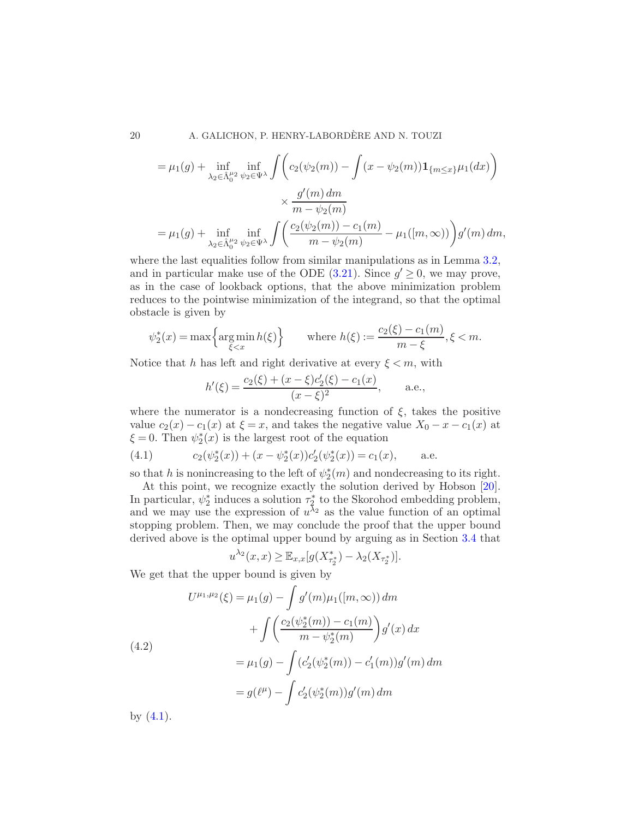20 A. GALICHON, P. HENRY-LABORDERE AND N. TOUZI `

$$
= \mu_1(g) + \inf_{\lambda_2 \in \hat{\Lambda}_0^{\mu_2}} \inf_{\psi_2 \in \Psi^{\lambda}} \int \left( c_2(\psi_2(m)) - \int (x - \psi_2(m)) \mathbf{1}_{\{m \le x\}} \mu_1(dx) \right) \times \frac{g'(m) dm}{m - \psi_2(m)} \n= \mu_1(g) + \inf_{\lambda_2 \in \hat{\Lambda}_0^{\mu_2}} \inf_{\psi_2 \in \Psi^{\lambda}} \int \left( \frac{c_2(\psi_2(m)) - c_1(m)}{m - \psi_2(m)} - \mu_1([m, \infty)) \right) g'(m) dm,
$$

where the last equalities follow from similar manipulations as in Lemma [3.2,](#page-15-1) and in particular make use of the ODE  $(3.21)$ . Since  $g' \geq 0$ , we may prove, as in the case of lookback options, that the above minimization problem reduces to the pointwise minimization of the integrand, so that the optimal obstacle is given by

$$
\psi_2^*(x) = \max\left\{\operatorname*{arg\,min}_{\xi < x} h(\xi)\right\} \qquad \text{where } h(\xi) := \frac{c_2(\xi) - c_1(m)}{m - \xi}, \xi < m.
$$

Notice that h has left and right derivative at every  $\xi \leq m$ , with

$$
h'(\xi) = \frac{c_2(\xi) + (x - \xi)c'_2(\xi) - c_1(x)}{(x - \xi)^2}, \quad \text{a.e.,}
$$

where the numerator is a nondecreasing function of  $\xi$ , takes the positive value  $c_2(x) - c_1(x)$  at  $\xi = x$ , and takes the negative value  $X_0 - x - c_1(x)$  at  $\xi = 0$ . Then  $\psi_2^*(x)$  is the largest root of the equation

<span id="page-20-0"></span>(4.1) 
$$
c_2(\psi_2^*(x)) + (x - \psi_2^*(x))c'_2(\psi_2^*(x)) = c_1(x), \quad \text{a.e.}
$$

so that h is nonincreasing to the left of  $\psi_2^*(m)$  and nondecreasing to its right.

At this point, we recognize exactly the solution derived by Hobson [\[20](#page-25-2)]. In particular,  $\psi_2^*$  induces a solution  $\tau_2^*$  to the Skorohod embedding problem, and we may use the expression of  $u^{\lambda_2}$  as the value function of an optimal stopping problem. Then, we may conclude the proof that the upper bound derived above is the optimal upper bound by arguing as in Section [3.4](#page-18-1) that

$$
u^{\lambda_2}(x,x) \geq \mathbb{E}_{x,x}[g(X_{\tau_2^*}^*) - \lambda_2(X_{\tau_2^*})].
$$

We get that the upper bound is given by

(4.2)  
\n
$$
U^{\mu_1,\mu_2}(\xi) = \mu_1(g) - \int g'(m)\mu_1([m,\infty)) dm
$$
\n
$$
+ \int \left(\frac{c_2(\psi_2^*(m)) - c_1(m)}{m - \psi_2^*(m)}\right) g'(x) dx
$$
\n
$$
= \mu_1(g) - \int (c_2'(\psi_2^*(m)) - c_1'(m)) g'(m) dm
$$
\n
$$
= g(\ell^{\mu}) - \int c_2'(\psi_2^*(m)) g'(m) dm
$$

by  $(4.1)$ .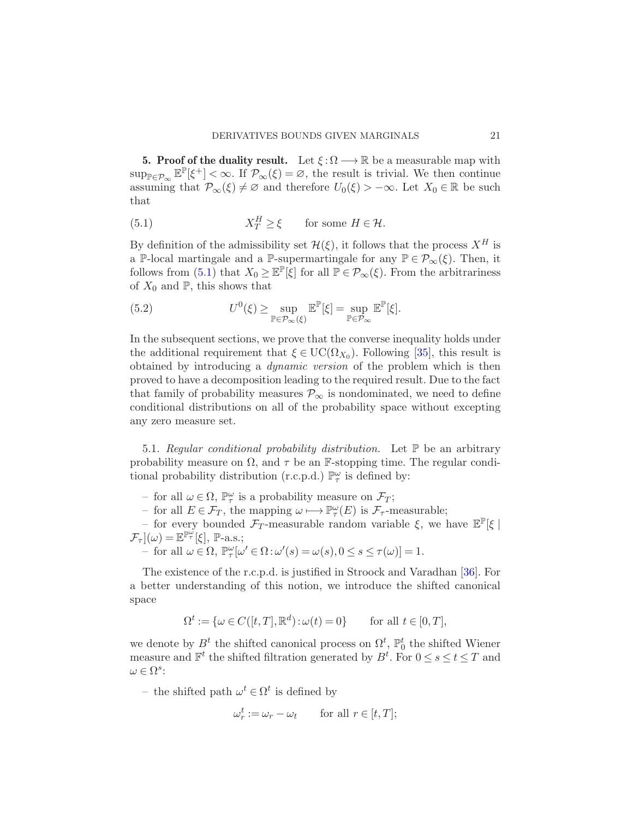<span id="page-21-0"></span>**5. Proof of the duality result.** Let  $\xi : \Omega \longrightarrow \mathbb{R}$  be a measurable map with  $\sup_{\mathbb{P}\in\mathcal{P}_{\infty}}\mathbb{E}^{\mathbb{P}}[\xi^+] < \infty$ . If  $\mathcal{P}_{\infty}(\xi) = \varnothing$ , the result is trivial. We then continue assuming that  $\mathcal{P}_{\infty}(\xi) \neq \emptyset$  and therefore  $U_0(\xi) > -\infty$ . Let  $X_0 \in \mathbb{R}$  be such that

<span id="page-21-1"></span>(5.1) 
$$
X_T^H \ge \xi
$$
 for some  $H \in \mathcal{H}$ .

By definition of the admissibility set  $\mathcal{H}(\xi)$ , it follows that the process  $X^H$  is a P-local martingale and a P-supermartingale for any  $\mathbb{P} \in \mathcal{P}_{\infty}(\xi)$ . Then, it follows from  $(5.1)$  that  $X_0 \geq \mathbb{E}^{\mathbb{P}}[\xi]$  for all  $\mathbb{P} \in \mathcal{P}_{\infty}(\xi)$ . From the arbitrariness of  $X_0$  and  $\mathbb{P}$ , this shows that

(5.2) 
$$
U^{0}(\xi) \geq \sup_{\mathbb{P}\in\mathcal{P}_{\infty}(\xi)} \mathbb{E}^{\mathbb{P}}[\xi] = \sup_{\mathbb{P}\in\mathcal{P}_{\infty}} \mathbb{E}^{\mathbb{P}}[\xi].
$$

In the subsequent sections, we prove that the converse inequality holds under the additional requirement that  $\xi \in \text{UC}(\Omega_{X_0})$ . Following [\[35](#page-25-11)], this result is obtained by introducing a dynamic version of the problem which is then proved to have a decomposition leading to the required result. Due to the fact that family of probability measures  $\mathcal{P}_{\infty}$  is nondominated, we need to define conditional distributions on all of the probability space without excepting any zero measure set.

5.1. Regular conditional probability distribution. Let  $\mathbb P$  be an arbitrary probability measure on  $\Omega$ , and  $\tau$  be an F-stopping time. The regular conditional probability distribution (r.c.p.d.)  $\mathbb{P}^{\omega}_{\tau}$  is defined by:

- for all  $ω ∈ Ω$ ,  $\mathbb{P}^ω_τ$  is a probability measure on  $\mathcal{F}_T$ ;
- for all  $E \in \mathcal{F}_T$ , the mapping  $ω \mapsto \mathbb{P}^{\omega}_{\tau}(E)$  is  $\mathcal{F}_{\tau}$ -measurable;

– for every bounded  $\mathcal{F}_T$ -measurable random variable  $\xi$ , we have  $\mathbb{E}^{\mathbb{P}}[\xi]$  $\mathcal{F}_{\tau}](\omega) = \mathbb{E}^{\mathbb{P}^{\omega}_{\tau}}[\xi], \mathbb{P}\text{-a.s.};$ 

- for all  $\omega \in \Omega$ ,  $\mathbb{P}_{\tau}^{\omega}[\omega' \in \Omega : \omega'(s) = \omega(s), 0 \le s \le \tau(\omega)] = 1$ .

The existence of the r.c.p.d. is justified in Stroock and Varadhan [\[36](#page-25-20)]. For a better understanding of this notion, we introduce the shifted canonical space

$$
\Omega^t := \{ \omega \in C([t, T], \mathbb{R}^d) : \omega(t) = 0 \} \quad \text{for all } t \in [0, T],
$$

we denote by  $B^t$  the shifted canonical process on  $\Omega^t$ ,  $\mathbb{P}_0^t$  the shifted Wiener measure and  $\mathbb{F}^t$  the shifted filtration generated by  $B^t$ . For  $0 \le s \le t \le T$  and  $\omega \in \Omega^s$ :

– the shifted path  $\omega^t \in \Omega^t$  is defined by

$$
\omega_r^t := \omega_r - \omega_t \qquad \text{for all } r \in [t, T];
$$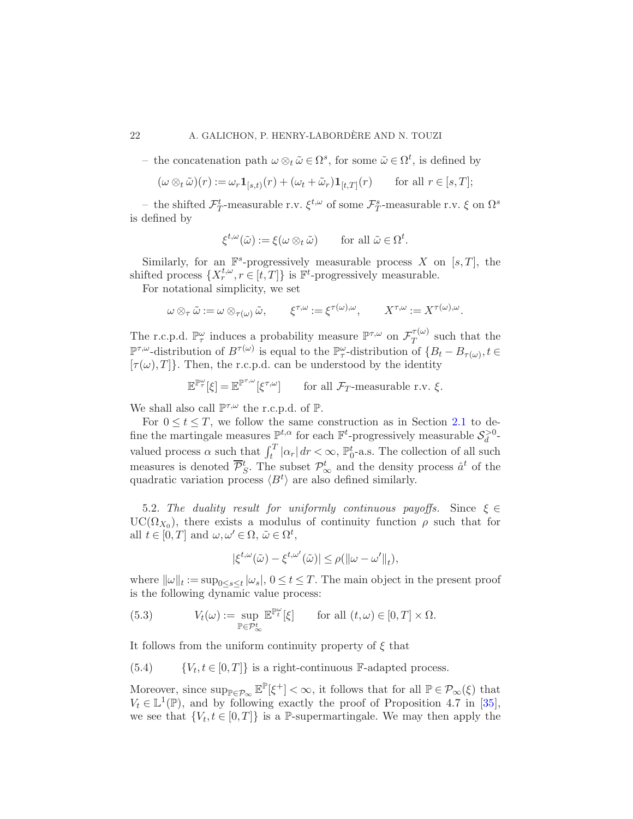#### 22 A. GALICHON, P. HENRY-LABORDÈRE AND N. TOUZI

– the concatenation path  $ω ⊗_t \tilde{ω} ∈ Ω^s$ , for some  $\tilde{ω} ∈ Ω^t$ , is defined by

$$
(\omega \otimes_t \tilde{\omega})(r) := \omega_r \mathbf{1}_{[s,t)}(r) + (\omega_t + \tilde{\omega}_r) \mathbf{1}_{[t,T]}(r) \quad \text{for all } r \in [s,T];
$$

– the shifted  $\mathcal{F}^t_T$ -measurable r.v.  $\xi^{t,\omega}$  of some  $\mathcal{F}^s_T$ -measurable r.v.  $\xi$  on  $\Omega^s$ is defined by

$$
\xi^{t,\omega}(\tilde{\omega}) := \xi(\omega \otimes_t \tilde{\omega}) \quad \text{for all } \tilde{\omega} \in \Omega^t.
$$

Similarly, for an  $\mathbb{F}^s$ -progressively measurable process X on [s, T], the shifted process  $\{X_r^{t,\omega}, r \in [t,T]\}$  is  $\mathbb{F}^t$ -progressively measurable.

For notational simplicity, we set

$$
\omega \otimes_{\tau} \tilde{\omega} := \omega \otimes_{\tau(\omega)} \tilde{\omega}, \qquad \xi^{\tau,\omega} := \xi^{\tau(\omega),\omega}, \qquad X^{\tau,\omega} := X^{\tau(\omega),\omega}.
$$

The r.c.p.d.  $\mathbb{P}^{\omega}_{\tau}$  induces a probability measure  $\mathbb{P}^{\tau,\omega}$  on  $\mathcal{F}^{\tau(\omega)}_{T}$  $T^{(\omega)}$  such that the  $\mathbb{P}^{\tau,\omega}$ -distribution of  $B^{\tau(\omega)}$  is equal to the  $\mathbb{P}^{\omega}_{\tau}$ -distribution of  $\{B_t - B_{\tau(\omega)}, t \in$  $[\tau(\omega), T]$ . Then, the r.c.p.d. can be understood by the identity

$$
\mathbb{E}^{\mathbb{P}^{\omega}_\tau}[\xi] = \mathbb{E}^{\mathbb{P}^{\tau,\omega}}[\xi^{\tau,\omega}] \quad \text{for all } \mathcal{F}_T\text{-measurable r.v. } \xi.
$$

We shall also call  $\mathbb{P}^{\tau,\omega}$  the r.c.p.d. of  $\mathbb{P}$ .

For  $0 \le t \le T$ , we follow the same construction as in Section [2.1](#page-4-0) to define the martingale measures  $\mathbb{P}^{t,\alpha}$  for each  $\mathbb{F}^t$ -progressively measurable  $\mathcal{S}_d^{>0}$ valued process  $\alpha$  such that  $\int_t^T |\alpha_r| dr < \infty$ ,  $\mathbb{P}_0^t$ -a.s. The collection of all such measures is denoted  $\overline{\mathcal{P}}_S^t$ . The subset  $\mathcal{P}_{\infty}^t$  and the density process  $\hat{a}^t$  of the quadratic variation process  $\langle B^t \rangle$  are also defined similarly.

5.2. The duality result for uniformly continuous payoffs. Since  $\xi \in$  $UC(\Omega_{X_0})$ , there exists a modulus of continuity function  $\rho$  such that for all  $t \in [0, T]$  and  $\omega, \omega' \in \Omega$ ,  $\tilde{\omega} \in \Omega^t$ ,

$$
|\xi^{t,\omega}(\tilde{\omega})-\xi^{t,\omega'}(\tilde{\omega})|\leq \rho(\|\omega-\omega'\|_t),
$$

where  $\|\omega\|_t := \sup_{0 \le s \le t} |\omega_s|, 0 \le t \le T$ . The main object in the present proof is the following dynamic value process:

<span id="page-22-1"></span>(5.3) 
$$
V_t(\omega) := \sup_{\mathbb{P} \in \mathcal{P}^t_{\infty}} \mathbb{E}^{\mathbb{P}^{\omega}_t}[\xi] \quad \text{for all } (t, \omega) \in [0, T] \times \Omega.
$$

It follows from the uniform continuity property of  $\xi$  that

<span id="page-22-0"></span> ${V_t, t \in [0, T]}$  is a right-continuous F-adapted process.

Moreover, since  $\sup_{\mathbb{P}\in\mathcal{P}_{\infty}}\mathbb{E}^{\mathbb{P}}[\xi^+] < \infty$ , it follows that for all  $\mathbb{P}\in\mathcal{P}_{\infty}(\xi)$  that  $V_t \in \mathbb{L}^1(\mathbb{P})$ , and by following exactly the proof of Proposition 4.7 in [\[35](#page-25-11)], we see that  $\{V_t, t \in [0,T]\}$  is a P-supermartingale. We may then apply the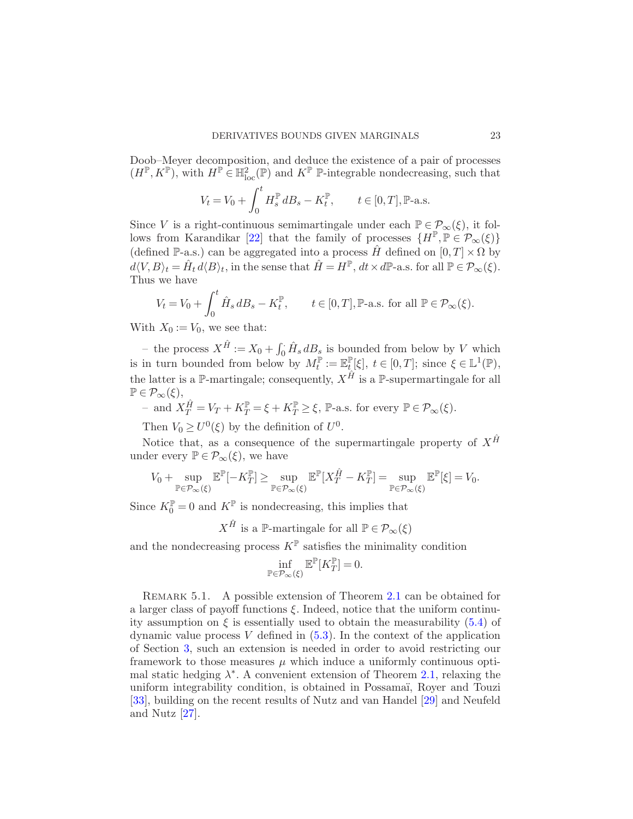Doob–Meyer decomposition, and deduce the existence of a pair of processes  $(H^{\mathbb{P}}, K^{\mathbb{P}})$ , with  $H^{\mathbb{P}} \in \mathbb{H}^2_{loc}(\mathbb{P})$  and  $K^{\mathbb{P}}$  P-integrable nondecreasing, such that

$$
V_t = V_0 + \int_0^t H_s^{\mathbb{P}} dB_s - K_t^{\mathbb{P}}, \qquad t \in [0, T], \mathbb{P}\text{-a.s.}
$$

Since V is a right-continuous semimartingale under each  $\mathbb{P} \in \mathcal{P}_{\infty}(\xi)$ , it fol-lows from Karandikar [\[22\]](#page-25-21) that the family of processes  $\{H^{\mathbb{P}}, \mathbb{P} \in \mathcal{P}_{\infty}(\xi)\}\$ (defined P-a.s.) can be aggregated into a process  $\hat{H}$  defined on  $[0, T] \times \Omega$  by  $d\langle V, B \rangle_t = \hat{H}_t d\langle B \rangle_t$ , in the sense that  $\hat{H} = H^{\mathbb{P}}, dt \times d\mathbb{P}$ -a.s. for all  $\mathbb{P} \in \mathcal{P}_{\infty}(\xi)$ . Thus we have

$$
V_t = V_0 + \int_0^t \hat{H}_s \, dB_s - K_t^{\mathbb{P}}, \qquad t \in [0, T], \mathbb{P}\text{-a.s. for all } \mathbb{P} \in \mathcal{P}_\infty(\xi).
$$

With  $X_0 := V_0$ , we see that:

– the process  $X^{\hat{H}} := X_0 + \int_0^{\cdot} \hat{H}_s dB_s$  is bounded from below by V which is in turn bounded from below by  $M_t^{\mathbb{P}} := \mathbb{E}_t^{\mathbb{P}}$  $\mathbb{P}_{t}[\xi], t \in [0,T];$  since  $\xi \in \mathbb{L}^{1}(\mathbb{P}),$ the latter is a P-martingale; consequently,  $X^{\hat{H}}$  is a P-supermartingale for all  $\mathbb{P} \in \mathcal{P}_{\infty}(\xi),$ 

- and  $X_T^{\hat{H}} = V_T + K_T^{\mathbb{P}} = \xi + K_T^{\mathbb{P}} \ge \xi$ , P-a.s. for every  $\mathbb{P} \in \mathcal{P}_{\infty}(\xi)$ .

Then  $V_0 \geq U^0(\xi)$  by the definition of  $U^0$ .

Notice that, as a consequence of the supermartingale property of  $X^{\hat{H}}$ under every  $\mathbb{P} \in \mathcal{P}_{\infty}(\xi)$ , we have

$$
V_0+\sup_{\mathbb{P}\in\mathcal{P}_{\infty}(\xi)}\mathbb{E}^{\mathbb{P}}[-K_T^{\mathbb{P}}]\geq \sup_{\mathbb{P}\in\mathcal{P}_{\infty}(\xi)}\mathbb{E}^{\mathbb{P}}[X_T^{\hat{H}}-K_T^{\mathbb{P}}]=\sup_{\mathbb{P}\in\mathcal{P}_{\infty}(\xi)}\mathbb{E}^{\mathbb{P}}[\xi]=V_0.
$$

Since  $K_0^{\mathbb{P}} = 0$  and  $K^{\mathbb{P}}$  is nondecreasing, this implies that

 $X^{\hat{H}}$  is a  $\mathbb{P}\text{-martingale}$  for all  $\mathbb{P}\in\mathcal{P}_{\infty}(\xi)$ 

and the nondecreasing process  $K^{\mathbb{P}}$  satisfies the minimality condition

$$
\inf_{\mathbb{P}\in\mathcal{P}_{\infty}(\xi)}\mathbb{E}^{\mathbb{P}}[K^{\mathbb{P}}_{T}]=0.
$$

REMARK 5.1. A possible extension of Theorem [2.1](#page-5-1) can be obtained for a larger class of payoff functions  $\xi$ . Indeed, notice that the uniform continuity assumption on  $\xi$  is essentially used to obtain the measurability [\(5.4\)](#page-22-0) of dynamic value process V defined in  $(5.3)$ . In the context of the application of Section [3,](#page-10-0) such an extension is needed in order to avoid restricting our framework to those measures  $\mu$  which induce a uniformly continuous optimal static hedging  $\lambda^*$ . A convenient extension of Theorem [2.1,](#page-5-1) relaxing the uniform integrability condition, is obtained in Possama¨ı, Royer and Touzi [\[33\]](#page-25-14), building on the recent results of Nutz and van Handel [\[29\]](#page-25-12) and Neufeld and Nutz [\[27\]](#page-25-13).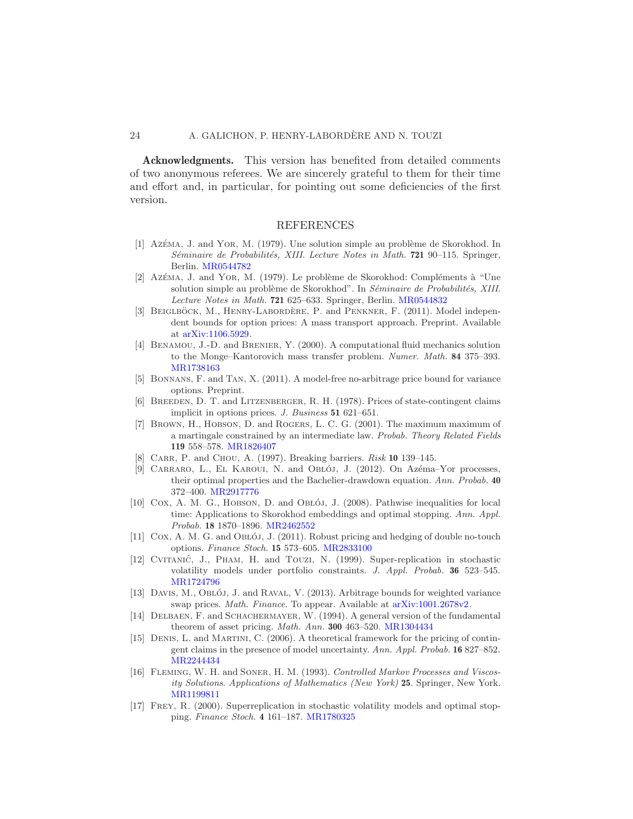#### 24 A. GALICHON, P. HENRY-LABORDÈRE AND N. TOUZI

Acknowledgments. This version has benefited from detailed comments of two anonymous referees. We are sincerely grateful to them for their time and effort and, in particular, for pointing out some deficiencies of the first version.

#### REFERENCES

- <span id="page-24-8"></span>[1] Azếma, J. and Yor, M. (1979). Une solution simple au problème de Skorokhod. In Séminaire de Probabilités, XIII. Lecture Notes in Math. 721 90-115. Springer, Berlin. [MR0544782](http://www.ams.org/mathscinet-getitem?mr=0544782)
- <span id="page-24-9"></span>[2] Az $\acute{E}$ ma, J. and Yor, M. (1979). Le problème de Skorokhod: Compléments à "Une solution simple au problème de Skorokhod". In Séminaire de Probabilités, XIII. Lecture Notes in Math. 721 625–633. Springer, Berlin. [MR0544832](http://www.ams.org/mathscinet-getitem?mr=0544832)
- <span id="page-24-14"></span>[3] BEIGLBÖCK, M., HENRY-LABORDÈRE, P. and PENKNER, F. (2011). Model independent bounds for option prices: A mass transport approach. Preprint. Available at [arXiv:1106.5929.](http://arxiv.org/abs/arXiv:1106.5929)
- <span id="page-24-5"></span>[4] Benamou, J.-D. and Brenier, Y. (2000). A computational fluid mechanics solution to the Monge–Kantorovich mass transfer problem. Numer. Math. 84 375–393. [MR1738163](http://www.ams.org/mathscinet-getitem?mr=1738163)
- <span id="page-24-7"></span>[5] Bonnans, F. and Tan, X. (2011). A model-free no-arbitrage price bound for variance options. Preprint.
- <span id="page-24-3"></span>[6] Breeden, D. T. and Litzenberger, R. H. (1978). Prices of state-contingent claims implicit in options prices. J. Business 51 621–651.
- <span id="page-24-10"></span>[7] Brown, H., Hobson, D. and Rogers, L. C. G. (2001). The maximum maximum of a martingale constrained by an intermediate law. Probab. Theory Related Fields 119 558–578. [MR1826407](http://www.ams.org/mathscinet-getitem?mr=1826407)
- <span id="page-24-13"></span>[8] CARR, P. and CHOU, A. (1997). Breaking barriers. Risk 10 139-145.
- <span id="page-24-16"></span>[9] CARRARO, L., EL KAROUI, N. and OBLÓJ, J.  $(2012)$ . On Azéma–Yor processes, their optimal properties and the Bachelier-drawdown equation. Ann. Probab. 40 372–400. [MR2917776](http://www.ams.org/mathscinet-getitem?mr=2917776)
- <span id="page-24-15"></span> $[10]$  Cox, A. M. G., HOBSON, D. and OBLOJ, J.  $(2008)$ . Pathwise inequalities for local time: Applications to Skorokhod embeddings and optimal stopping. Ann. Appl. Probab. 18 1870–1896. [MR2462552](http://www.ams.org/mathscinet-getitem?mr=2462552)
- <span id="page-24-11"></span> $[11]$  Cox, A. M. G. and Ob loj, J.  $(2011)$ . Robust pricing and hedging of double no-touch options. Finance Stoch. 15 573–605. [MR2833100](http://www.ams.org/mathscinet-getitem?mr=2833100)
- <span id="page-24-1"></span>[12] CVITANIĆ, J., PHAM, H. and TOUZI, N. (1999). Super-replication in stochastic volatility models under portfolio constraints. J. Appl. Probab. 36 523–545. [MR1724796](http://www.ams.org/mathscinet-getitem?mr=1724796)
- <span id="page-24-6"></span>[13] DAVIS, M., OBLÓJ, J. and RAVAL, V.  $(2013)$ . Arbitrage bounds for weighted variance swap prices. Math. Finance. To appear. Available at [arXiv:1001.2678v2.](http://arxiv.org/abs/arXiv:1001.2678v2)
- <span id="page-24-0"></span>[14] DELBAEN, F. and SCHACHERMAYER, W. (1994). A general version of the fundamental theorem of asset pricing. Math. Ann. 300 463–520. [MR1304434](http://www.ams.org/mathscinet-getitem?mr=1304434)
- <span id="page-24-12"></span>[15] Denis, L. and Martini, C. (2006). A theoretical framework for the pricing of contingent claims in the presence of model uncertainty. Ann. Appl. Probab. 16 827–852. [MR2244434](http://www.ams.org/mathscinet-getitem?mr=2244434)
- <span id="page-24-4"></span>[16] FLEMING, W. H. and SONER, H. M. (1993). Controlled Markov Processes and Viscosity Solutions. Applications of Mathematics (New York) 25. Springer, New York. [MR1199811](http://www.ams.org/mathscinet-getitem?mr=1199811)
- <span id="page-24-2"></span>[17] Frey, R. (2000). Superreplication in stochastic volatility models and optimal stopping. Finance Stoch. 4 161–187. [MR1780325](http://www.ams.org/mathscinet-getitem?mr=1780325)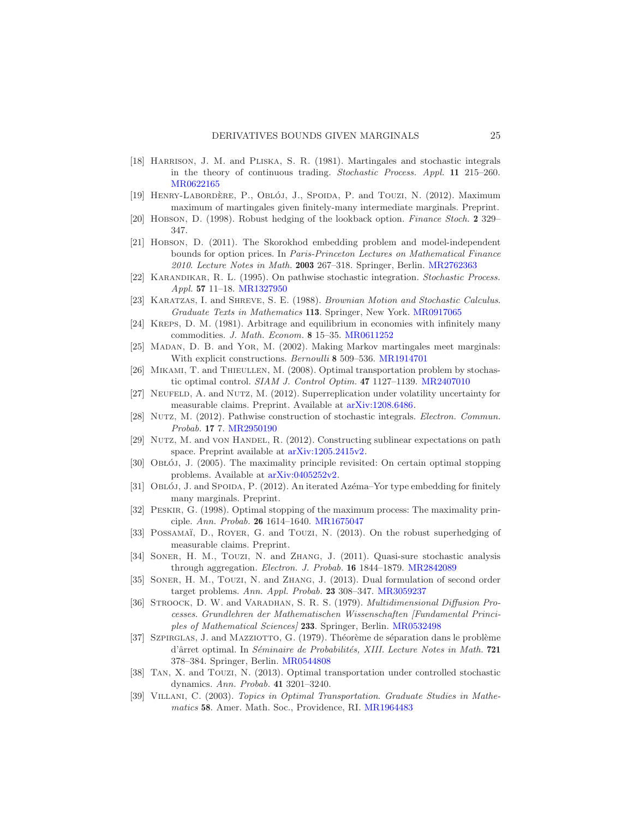- <span id="page-25-1"></span>[18] Harrison, J. M. and Pliska, S. R. (1981). Martingales and stochastic integrals in the theory of continuous trading. Stochastic Process. Appl. 11 215–260. [MR0622165](http://www.ams.org/mathscinet-getitem?mr=0622165)
- <span id="page-25-6"></span>[19] HENRY-LABORDÈRE, P., OBLÓJ, J., SPOIDA, P. and TOUZI, N. (2012). Maximum maximum of martingales given finitely-many intermediate marginals. Preprint.
- <span id="page-25-2"></span>[20] Hobson, D. (1998). Robust hedging of the lookback option. Finance Stoch. 2 329– 347.
- <span id="page-25-3"></span>[21] Hobson, D. (2011). The Skorokhod embedding problem and model-independent bounds for option prices. In Paris-Princeton Lectures on Mathematical Finance 2010. Lecture Notes in Math. 2003 267–318. Springer, Berlin. [MR2762363](http://www.ams.org/mathscinet-getitem?mr=2762363)
- <span id="page-25-21"></span>[22] Karandikar, R. L. (1995). On pathwise stochastic integration. Stochastic Process. Appl. 57 11–18. [MR1327950](http://www.ams.org/mathscinet-getitem?mr=1327950)
- <span id="page-25-16"></span>[23] Karatzas, I. and Shreve, S. E. (1988). Brownian Motion and Stochastic Calculus. Graduate Texts in Mathematics 113. Springer, New York. [MR0917065](http://www.ams.org/mathscinet-getitem?mr=0917065)
- <span id="page-25-0"></span>[24] Kreps, D. M. (1981). Arbitrage and equilibrium in economies with infinitely many commodities. J. Math. Econom. 8 15–35. [MR0611252](http://www.ams.org/mathscinet-getitem?mr=0611252)
- <span id="page-25-8"></span>[25] Madan, D. B. and Yor, M. (2002). Making Markov martingales meet marginals: With explicit constructions. Bernoulli 8 509–536. [MR1914701](http://www.ams.org/mathscinet-getitem?mr=1914701)
- <span id="page-25-15"></span>[26] Mikami, T. and Thieullen, M. (2008). Optimal transportation problem by stochastic optimal control. SIAM J. Control Optim. 47 1127–1139. [MR2407010](http://www.ams.org/mathscinet-getitem?mr=2407010)
- <span id="page-25-13"></span>[27] NEUFELD, A. and NUTZ, M. (2012). Superreplication under volatility uncertainty for measurable claims. Preprint. Available at [arXiv:1208.6486.](http://arxiv.org/abs/arXiv:1208.6486)
- <span id="page-25-10"></span>[28] Nutz, M. (2012). Pathwise construction of stochastic integrals. Electron. Commun. Probab. 17 7. [MR2950190](http://www.ams.org/mathscinet-getitem?mr=2950190)
- <span id="page-25-12"></span>[29] NUTZ, M. and VON HANDEL, R. (2012). Constructing sublinear expectations on path space. Preprint available at [arXiv:1205.2415v2.](http://arxiv.org/abs/arXiv:1205.2415v2)
- <span id="page-25-19"></span>[30] Ob LOJ, J. (2005). The maximality principle revisited: On certain optimal stopping problems. Available at [arXiv:0405252v2.](http://arxiv.org/abs/arXiv:0405252v2)
- <span id="page-25-7"></span>[31] Obloj, J. and Spoida, P. (2012). An iterated Azema–Yor type embedding for finitely many marginals. Preprint.
- <span id="page-25-18"></span>[32] Peskir, G. (1998). Optimal stopping of the maximum process: The maximality principle. Ann. Probab. 26 1614–1640. [MR1675047](http://www.ams.org/mathscinet-getitem?mr=1675047)
- <span id="page-25-14"></span>[33] POSSAMAÏ, D., ROYER, G. and TOUZI, N. (2013). On the robust superhedging of measurable claims. Preprint.
- <span id="page-25-9"></span>[34] SONER, H. M., TOUZI, N. and ZHANG, J. (2011). Quasi-sure stochastic analysis through aggregation. Electron. J. Probab. 16 1844–1879. [MR2842089](http://www.ams.org/mathscinet-getitem?mr=2842089)
- <span id="page-25-11"></span>[35] SONER, H. M., TOUZI, N. and ZHANG, J. (2013). Dual formulation of second order target problems. Ann. Appl. Probab. 23 308–347. [MR3059237](http://www.ams.org/mathscinet-getitem?mr=3059237)
- <span id="page-25-20"></span>[36] STROOCK, D. W. and VARADHAN, S. R. S. (1979). *Multidimensional Diffusion Pro*cesses. Grundlehren der Mathematischen Wissenschaften [Fundamental Principles of Mathematical Sciences] 233. Springer, Berlin. [MR0532498](http://www.ams.org/mathscinet-getitem?mr=0532498)
- <span id="page-25-17"></span>[37] SZPIRGLAS, J. and MAZZIOTTO, G. (1979). Théorème de séparation dans le problème d'ârret optimal. In Séminaire de Probabilités, XIII. Lecture Notes in Math. 721 378–384. Springer, Berlin. [MR0544808](http://www.ams.org/mathscinet-getitem?mr=0544808)
- <span id="page-25-5"></span>[38] Tan, X. and Touzi, N. (2013). Optimal transportation under controlled stochastic dynamics. Ann. Probab. 41 3201–3240.
- <span id="page-25-4"></span>[39] Villani, C. (2003). Topics in Optimal Transportation. Graduate Studies in Mathe-matics 58. Amer. Math. Soc., Providence, RI. [MR1964483](http://www.ams.org/mathscinet-getitem?mr=1964483)